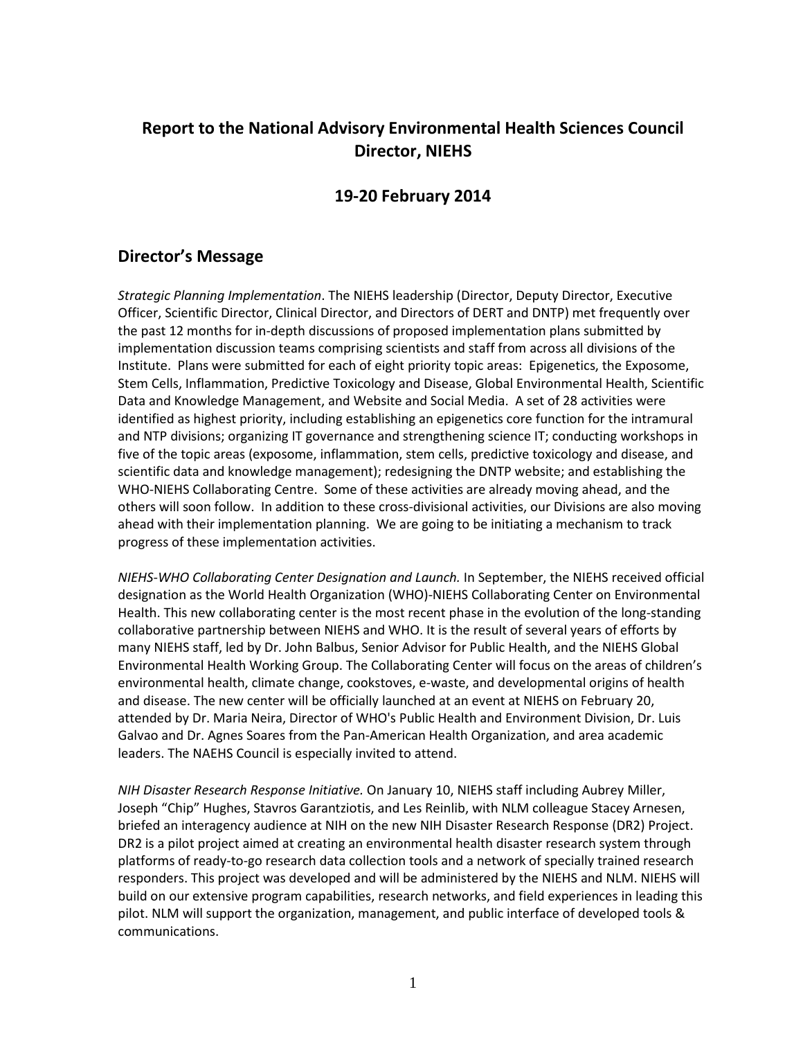# **Report to the National Advisory Environmental Health Sciences Council Director, NIEHS**

# **19-20 February 2014**

# **Director's Message**

*Strategic Planning Implementation*. The NIEHS leadership (Director, Deputy Director, Executive Officer, Scientific Director, Clinical Director, and Directors of DERT and DNTP) met frequently over the past 12 months for in-depth discussions of proposed implementation plans submitted by implementation discussion teams comprising scientists and staff from across all divisions of the Institute. Plans were submitted for each of eight priority topic areas: Epigenetics, the Exposome, Stem Cells, Inflammation, Predictive Toxicology and Disease, Global Environmental Health, Scientific Data and Knowledge Management, and Website and Social Media. A set of 28 activities were identified as highest priority, including establishing an epigenetics core function for the intramural and NTP divisions; organizing IT governance and strengthening science IT; conducting workshops in five of the topic areas (exposome, inflammation, stem cells, predictive toxicology and disease, and scientific data and knowledge management); redesigning the DNTP website; and establishing the WHO-NIEHS Collaborating Centre. Some of these activities are already moving ahead, and the others will soon follow. In addition to these cross-divisional activities, our Divisions are also moving ahead with their implementation planning. We are going to be initiating a mechanism to track progress of these implementation activities.

*NIEHS-WHO Collaborating Center Designation and Launch.* In September, the NIEHS received official designation as the World Health Organization (WHO)-NIEHS Collaborating Center on Environmental Health. This new collaborating center is the most recent phase in the evolution of the long-standing collaborative partnership between NIEHS and WHO. It is the result of several years of efforts by many NIEHS staff, led by Dr. John Balbus, Senior Advisor for Public Health, and the NIEHS Global Environmental Health Working Group. The Collaborating Center will focus on the areas of children's environmental health, climate change, cookstoves, e-waste, and developmental origins of health and disease. The new center will be officially launched at an event at NIEHS on February 20, attended by Dr. Maria Neira, Director of WHO's Public Health and Environment Division, Dr. Luis Galvao and Dr. Agnes Soares from the Pan-American Health Organization, and area academic leaders. The NAEHS Council is especially invited to attend.

*NIH Disaster Research Response Initiative.* On January 10, NIEHS staff including Aubrey Miller, Joseph "Chip" Hughes, Stavros Garantziotis, and Les Reinlib, with NLM colleague Stacey Arnesen, briefed an interagency audience at NIH on the new NIH Disaster Research Response (DR2) Project. DR2 is a pilot project aimed at creating an environmental health disaster research system through platforms of ready-to-go research data collection tools and a network of specially trained research responders. This project was developed and will be administered by the NIEHS and NLM. NIEHS will build on our extensive program capabilities, research networks, and field experiences in leading this pilot. NLM will support the organization, management, and public interface of developed tools & communications.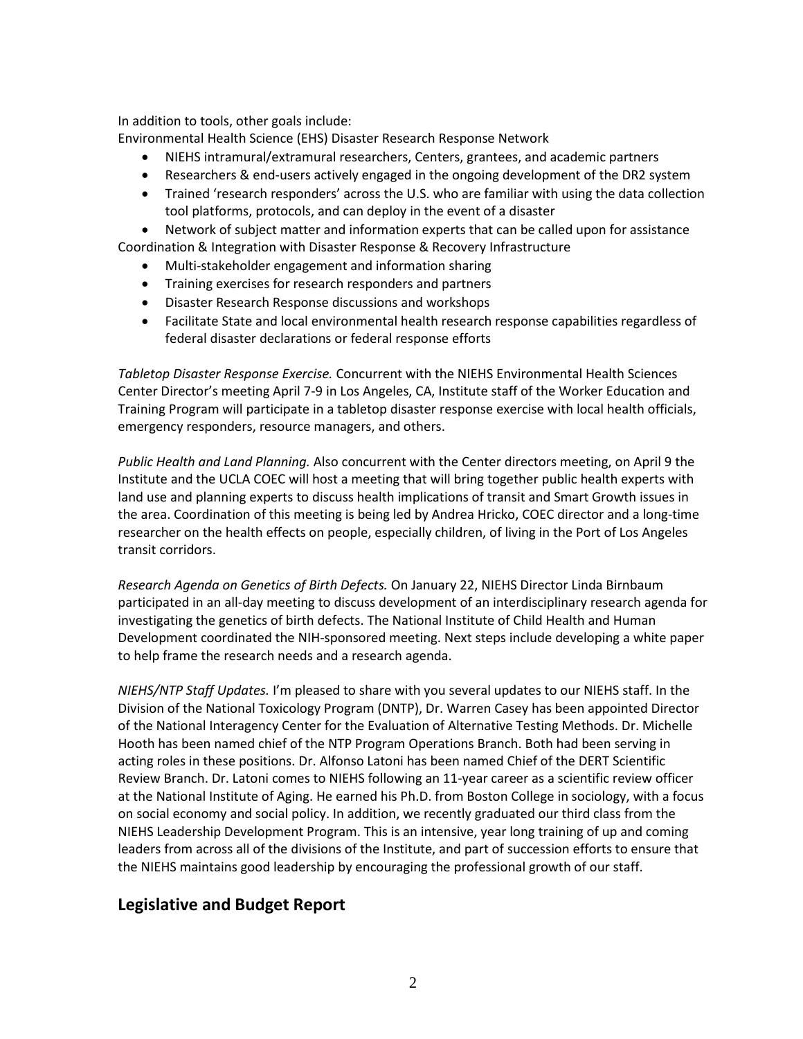In addition to tools, other goals include:

Environmental Health Science (EHS) Disaster Research Response Network

- NIEHS intramural/extramural researchers, Centers, grantees, and academic partners
- Researchers & end-users actively engaged in the ongoing development of the DR2 system
- Trained 'research responders' across the U.S. who are familiar with using the data collection tool platforms, protocols, and can deploy in the event of a disaster

• Network of subject matter and information experts that can be called upon for assistance Coordination & Integration with Disaster Response & Recovery Infrastructure

- Multi-stakeholder engagement and information sharing
- Training exercises for research responders and partners
- Disaster Research Response discussions and workshops
- Facilitate State and local environmental health research response capabilities regardless of federal disaster declarations or federal response efforts

*Tabletop Disaster Response Exercise.* Concurrent with the NIEHS Environmental Health Sciences Center Director's meeting April 7-9 in Los Angeles, CA, Institute staff of the Worker Education and Training Program will participate in a tabletop disaster response exercise with local health officials, emergency responders, resource managers, and others.

*Public Health and Land Planning.* Also concurrent with the Center directors meeting, on April 9 the Institute and the UCLA COEC will host a meeting that will bring together public health experts with land use and planning experts to discuss health implications of transit and Smart Growth issues in the area. Coordination of this meeting is being led by Andrea Hricko, COEC director and a long-time researcher on the health effects on people, especially children, of living in the Port of Los Angeles transit corridors.

*Research Agenda on Genetics of Birth Defects.* On January 22, NIEHS Director Linda Birnbaum participated in an all-day meeting to discuss development of an interdisciplinary research agenda for investigating the genetics of birth defects. The National Institute of Child Health and Human Development coordinated the NIH-sponsored meeting. Next steps include developing a white paper to help frame the research needs and a research agenda.

*NIEHS/NTP Staff Updates.* I'm pleased to share with you several updates to our NIEHS staff. In the Division of the National Toxicology Program (DNTP), Dr. Warren Casey has been appointed Director of the National Interagency Center for the Evaluation of Alternative Testing Methods. Dr. Michelle Hooth has been named chief of the NTP Program Operations Branch. Both had been serving in acting roles in these positions. Dr. Alfonso Latoni has been named Chief of the DERT Scientific Review Branch. Dr. Latoni comes to NIEHS following an 11-year career as a scientific review officer at the National Institute of Aging. He earned his Ph.D. from Boston College in sociology, with a focus on social economy and social policy. In addition, we recently graduated our third class from the NIEHS Leadership Development Program. This is an intensive, year long training of up and coming leaders from across all of the divisions of the Institute, and part of succession efforts to ensure that the NIEHS maintains good leadership by encouraging the professional growth of our staff.

### **Legislative and Budget Report**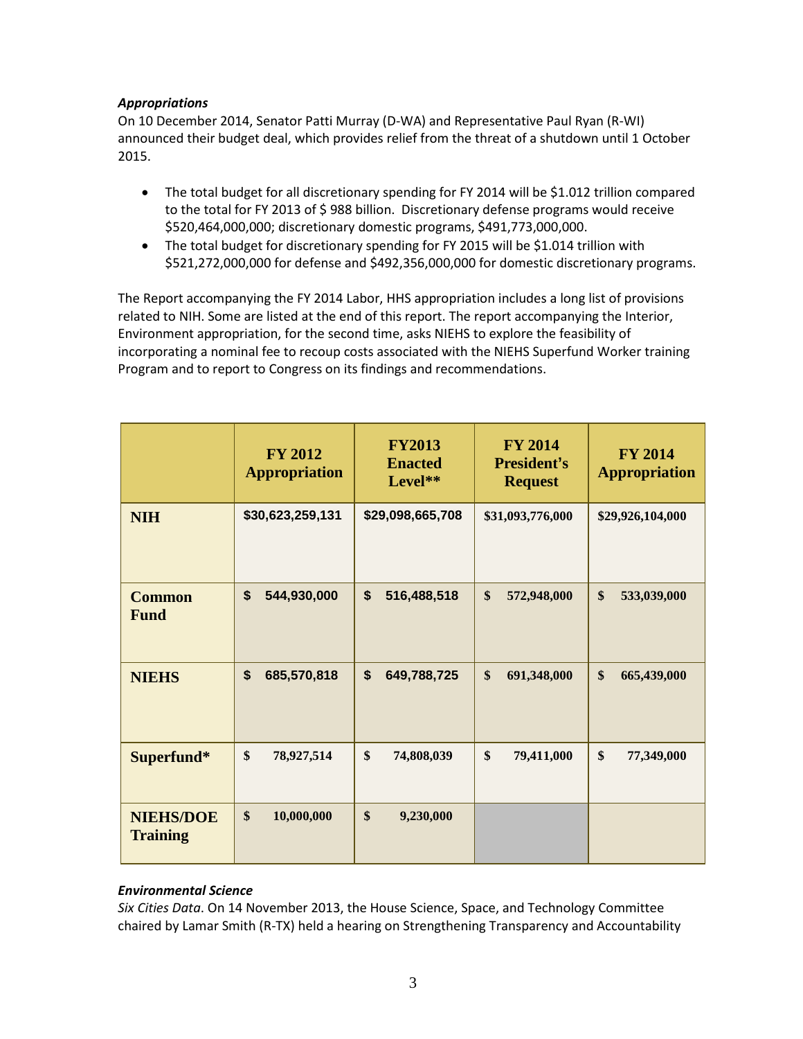#### *Appropriations*

On 10 December 2014, Senator Patti Murray (D-WA) and Representative Paul Ryan (R-WI) announced their budget deal, which provides relief from the threat of a shutdown until 1 October 2015.

- The total budget for all discretionary spending for FY 2014 will be \$1.012 trillion compared to the total for FY 2013 of \$988 billion. Discretionary defense programs would receive \$520,464,000,000; discretionary domestic programs, \$491,773,000,000.
- The total budget for discretionary spending for FY 2015 will be \$1.014 trillion with \$521,272,000,000 for defense and \$492,356,000,000 for domestic discretionary programs.

The Report accompanying the FY 2014 Labor, HHS appropriation includes a long list of provisions related to NIH. Some are listed at the end of this report. The report accompanying the Interior, Environment appropriation, for the second time, asks NIEHS to explore the feasibility of incorporating a nominal fee to recoup costs associated with the NIEHS Superfund Worker training Program and to report to Congress on its findings and recommendations.

|                                     | <b>FY 2012</b><br><b>Appropriation</b> | <b>FY2013</b><br><b>Enacted</b><br>Level** | <b>FY 2014</b><br><b>President's</b><br><b>Request</b> | <b>FY 2014</b><br><b>Appropriation</b> |
|-------------------------------------|----------------------------------------|--------------------------------------------|--------------------------------------------------------|----------------------------------------|
| <b>NIH</b>                          | \$30,623,259,131                       | \$29,098,665,708                           | \$31,093,776,000                                       | \$29,926,104,000                       |
| <b>Common</b>                       | \$                                     | \$                                         | \$                                                     | \$                                     |
| <b>Fund</b>                         | 544,930,000                            | 516,488,518                                | 572,948,000                                            | 533,039,000                            |
| <b>NIEHS</b>                        | \$                                     | \$                                         | \$                                                     | \$                                     |
|                                     | 685,570,818                            | 649,788,725                                | 691,348,000                                            | 665,439,000                            |
| Superfund*                          | \$                                     | \$                                         | \$                                                     | \$                                     |
|                                     | 78,927,514                             | 74,808,039                                 | 79,411,000                                             | 77,349,000                             |
| <b>NIEHS/DOE</b><br><b>Training</b> | \$<br>10,000,000                       | \$<br>9,230,000                            |                                                        |                                        |

### *Environmental Science*

*Six Cities Data*. On 14 November 2013, the House Science, Space, and Technology Committee chaired by Lamar Smith (R-TX) held a hearing on Strengthening Transparency and Accountability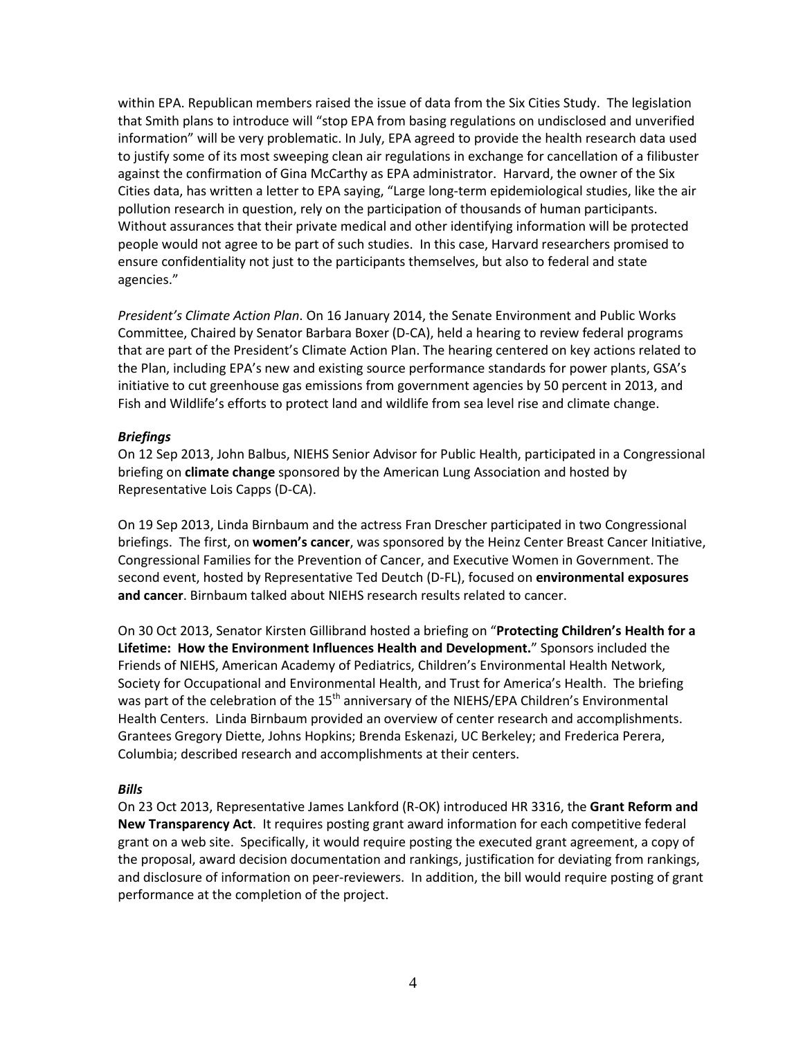within EPA. Republican members raised the issue of data from the Six Cities Study. The legislation that Smith plans to introduce will "stop EPA from basing regulations on undisclosed and unverified information" will be very problematic. In July, EPA agreed to provide the health research data used to justify some of its most sweeping clean air regulations in exchange for cancellation of a filibuster against the confirmation of Gina McCarthy as EPA administrator. Harvard, the owner of the Six Cities data, has written a letter to EPA saying, "Large long-term epidemiological studies, like the air pollution research in question, rely on the participation of thousands of human participants. Without assurances that their private medical and other identifying information will be protected people would not agree to be part of such studies. In this case, Harvard researchers promised to ensure confidentiality not just to the participants themselves, but also to federal and state agencies."

*President's Climate Action Plan*. On 16 January 2014, the Senate Environment and Public Works Committee, Chaired by Senator Barbara Boxer (D-CA), held a hearing to review federal programs that are part of the President's Climate Action Plan. The hearing centered on key actions related to the Plan, including EPA's new and existing source performance standards for power plants, GSA's initiative to cut greenhouse gas emissions from government agencies by 50 percent in 2013, and Fish and Wildlife's efforts to protect land and wildlife from sea level rise and climate change.

#### *Briefings*

On 12 Sep 2013, John Balbus, NIEHS Senior Advisor for Public Health, participated in a Congressional briefing on **climate change** sponsored by the American Lung Association and hosted by Representative Lois Capps (D-CA).

On 19 Sep 2013, Linda Birnbaum and the actress Fran Drescher participated in two Congressional briefings. The first, on **women's cancer**, was sponsored by the Heinz Center Breast Cancer Initiative, Congressional Families for the Prevention of Cancer, and Executive Women in Government. The second event, hosted by Representative Ted Deutch (D-FL), focused on **environmental exposures and cancer**. Birnbaum talked about NIEHS research results related to cancer.

On 30 Oct 2013, Senator Kirsten Gillibrand hosted a briefing on "**Protecting Children's Health for a Lifetime: How the Environment Influences Health and Development.**" Sponsors included the Friends of NIEHS, American Academy of Pediatrics, Children's Environmental Health Network, Society for Occupational and Environmental Health, and Trust for America's Health. The briefing was part of the celebration of the 15<sup>th</sup> anniversary of the NIEHS/EPA Children's Environmental Health Centers. Linda Birnbaum provided an overview of center research and accomplishments. Grantees Gregory Diette, Johns Hopkins; Brenda Eskenazi, UC Berkeley; and Frederica Perera, Columbia; described research and accomplishments at their centers.

#### *Bills*

On 23 Oct 2013, Representative James Lankford (R-OK) introduced HR 3316, the **Grant Reform and New Transparency Act**. It requires posting grant award information for each competitive federal grant on a web site. Specifically, it would require posting the executed grant agreement, a copy of the proposal, award decision documentation and rankings, justification for deviating from rankings, and disclosure of information on peer-reviewers. In addition, the bill would require posting of grant performance at the completion of the project.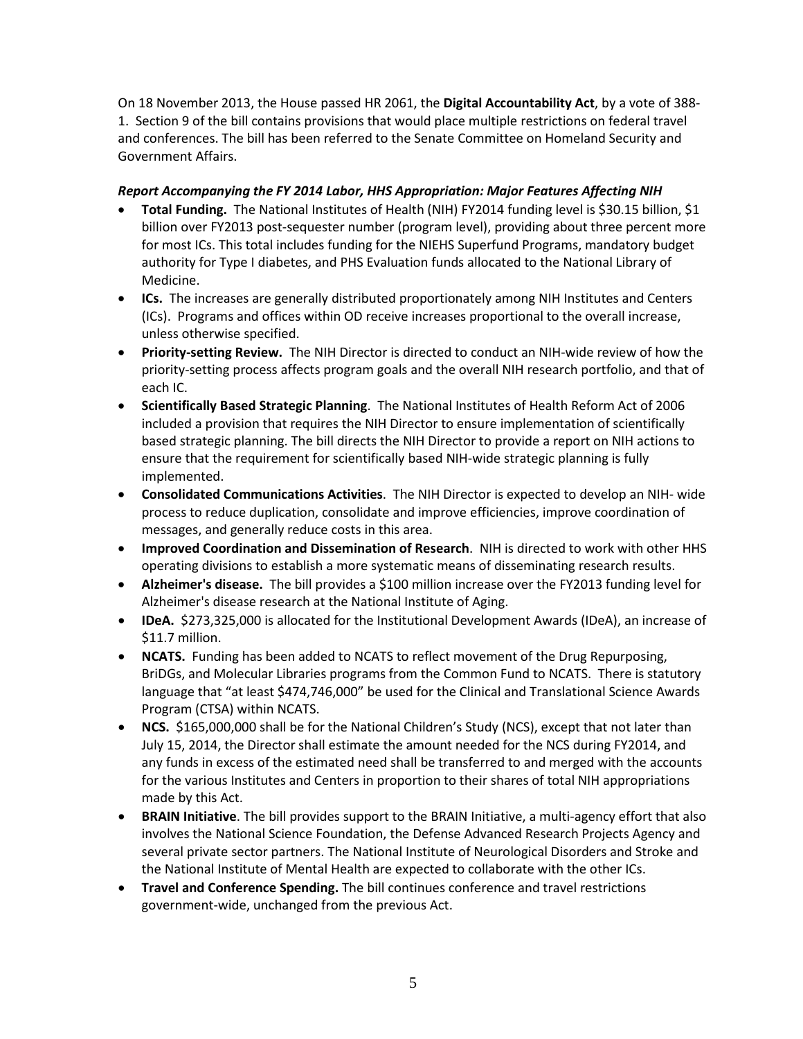On 18 November 2013, the House passed HR 2061, the **Digital Accountability Act**, by a vote of 388- 1. Section 9 of the bill contains provisions that would place multiple restrictions on federal travel and conferences. The bill has been referred to the Senate Committee on Homeland Security and Government Affairs.

### *Report Accompanying the FY 2014 Labor, HHS Appropriation: Major Features Affecting NIH*

- **Total Funding.** The National Institutes of Health (NIH) FY2014 funding level is \$30.15 billion, \$1 billion over FY2013 post-sequester number (program level), providing about three percent more for most ICs. This total includes funding for the NIEHS Superfund Programs, mandatory budget authority for Type I diabetes, and PHS Evaluation funds allocated to the National Library of Medicine.
- **ICs.** The increases are generally distributed proportionately among NIH Institutes and Centers (ICs). Programs and offices within OD receive increases proportional to the overall increase, unless otherwise specified.
- **Priority-setting Review.** The NIH Director is directed to conduct an NIH-wide review of how the priority-setting process affects program goals and the overall NIH research portfolio, and that of each IC.
- **Scientifically Based Strategic Planning**. The National Institutes of Health Reform Act of 2006 included a provision that requires the NIH Director to ensure implementation of scientifically based strategic planning. The bill directs the NIH Director to provide a report on NIH actions to ensure that the requirement for scientifically based NIH-wide strategic planning is fully implemented.
- **Consolidated Communications Activities**. The NIH Director is expected to develop an NIH- wide process to reduce duplication, consolidate and improve efficiencies, improve coordination of messages, and generally reduce costs in this area.
- **Improved Coordination and Dissemination of Research**. NIH is directed to work with other HHS operating divisions to establish a more systematic means of disseminating research results.
- **Alzheimer's disease.** The bill provides a \$100 million increase over the FY2013 funding level for Alzheimer's disease research at the National Institute of Aging.
- **IDeA.** \$273,325,000 is allocated for the Institutional Development Awards (IDeA), an increase of \$11.7 million.
- **NCATS.** Funding has been added to NCATS to reflect movement of the Drug Repurposing, BriDGs, and Molecular Libraries programs from the Common Fund to NCATS. There is statutory language that "at least \$474,746,000" be used for the Clinical and Translational Science Awards Program (CTSA) within NCATS.
- **NCS.** \$165,000,000 shall be for the National Children's Study (NCS), except that not later than July 15, 2014, the Director shall estimate the amount needed for the NCS during FY2014, and any funds in excess of the estimated need shall be transferred to and merged with the accounts for the various Institutes and Centers in proportion to their shares of total NIH appropriations made by this Act.
- **BRAIN Initiative**. The bill provides support to the BRAIN Initiative, a multi-agency effort that also involves the National Science Foundation, the Defense Advanced Research Projects Agency and several private sector partners. The National Institute of Neurological Disorders and Stroke and the National Institute of Mental Health are expected to collaborate with the other ICs.
- **Travel and Conference Spending.** The bill continues conference and travel restrictions government-wide, unchanged from the previous Act.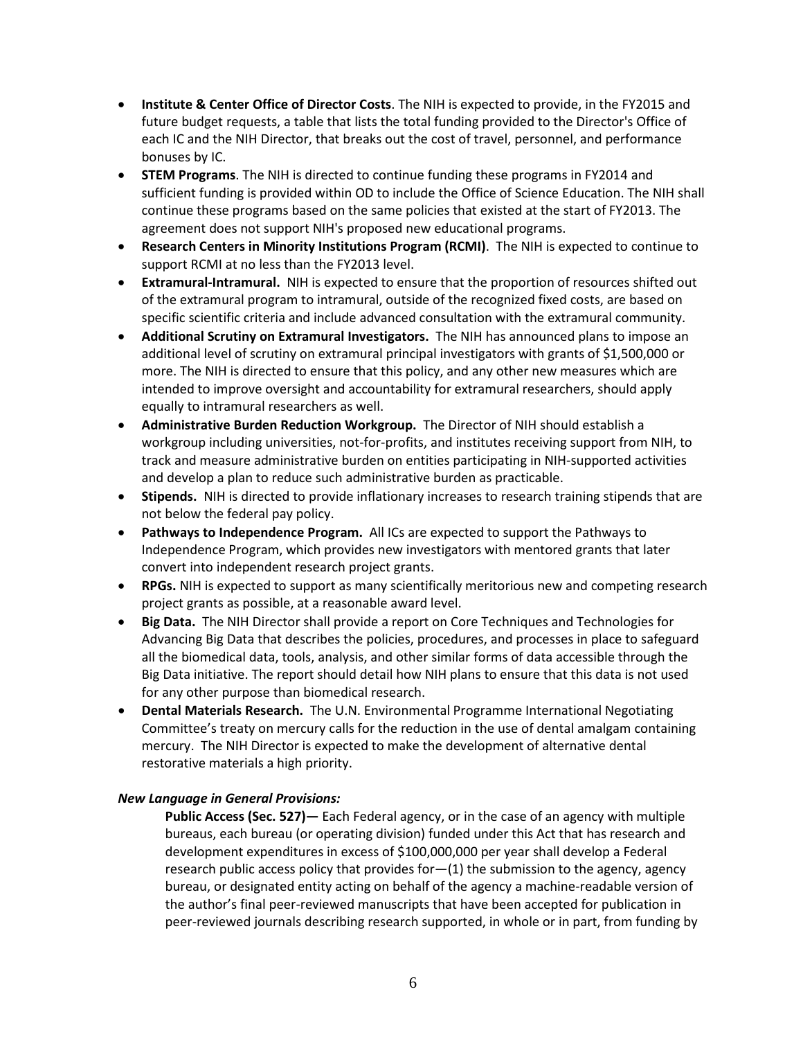- **Institute & Center Office of Director Costs**. The NIH is expected to provide, in the FY2015 and future budget requests, a table that lists the total funding provided to the Director's Office of each IC and the NIH Director, that breaks out the cost of travel, personnel, and performance bonuses by IC.
- **STEM Programs**. The NIH is directed to continue funding these programs in FY2014 and sufficient funding is provided within OD to include the Office of Science Education. The NIH shall continue these programs based on the same policies that existed at the start of FY2013. The agreement does not support NIH's proposed new educational programs.
- **Research Centers in Minority Institutions Program (RCMI)**. The NIH is expected to continue to support RCMI at no less than the FY2013 level.
- **Extramural-Intramural.** NIH is expected to ensure that the proportion of resources shifted out of the extramural program to intramural, outside of the recognized fixed costs, are based on specific scientific criteria and include advanced consultation with the extramural community.
- **Additional Scrutiny on Extramural Investigators.** The NIH has announced plans to impose an additional level of scrutiny on extramural principal investigators with grants of \$1,500,000 or more. The NIH is directed to ensure that this policy, and any other new measures which are intended to improve oversight and accountability for extramural researchers, should apply equally to intramural researchers as well.
- **Administrative Burden Reduction Workgroup.** The Director of NIH should establish a workgroup including universities, not-for-profits, and institutes receiving support from NIH, to track and measure administrative burden on entities participating in NIH-supported activities and develop a plan to reduce such administrative burden as practicable.
- **Stipends.** NIH is directed to provide inflationary increases to research training stipends that are not below the federal pay policy.
- **Pathways to Independence Program.** All ICs are expected to support the Pathways to Independence Program, which provides new investigators with mentored grants that later convert into independent research project grants.
- **RPGs.** NIH is expected to support as many scientifically meritorious new and competing research project grants as possible, at a reasonable award level.
- **Big Data.** The NIH Director shall provide a report on Core Techniques and Technologies for Advancing Big Data that describes the policies, procedures, and processes in place to safeguard all the biomedical data, tools, analysis, and other similar forms of data accessible through the Big Data initiative. The report should detail how NIH plans to ensure that this data is not used for any other purpose than biomedical research.
- **Dental Materials Research.** The U.N. Environmental Programme International Negotiating Committee's treaty on mercury calls for the reduction in the use of dental amalgam containing mercury. The NIH Director is expected to make the development of alternative dental restorative materials a high priority.

#### *New Language in General Provisions:*

**Public Access (Sec. 527)—** Each Federal agency, or in the case of an agency with multiple bureaus, each bureau (or operating division) funded under this Act that has research and development expenditures in excess of \$100,000,000 per year shall develop a Federal research public access policy that provides for  $-(1)$  the submission to the agency, agency bureau, or designated entity acting on behalf of the agency a machine-readable version of the author's final peer-reviewed manuscripts that have been accepted for publication in peer-reviewed journals describing research supported, in whole or in part, from funding by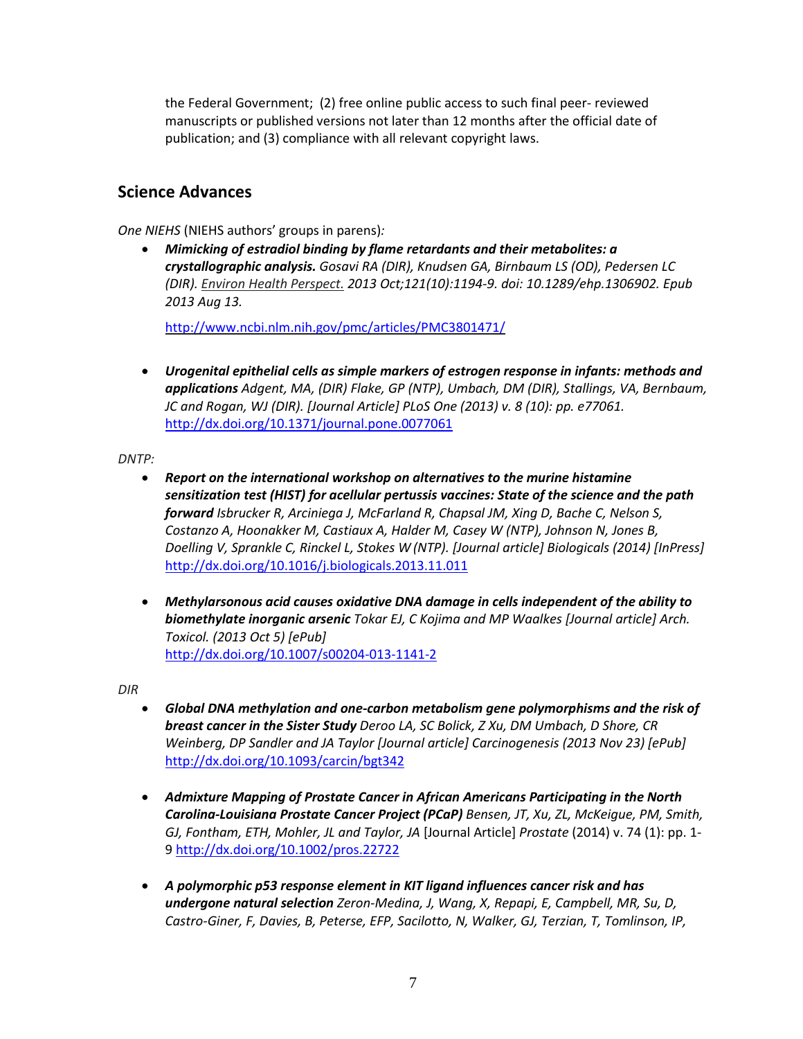the Federal Government; (2) free online public access to such final peer- reviewed manuscripts or published versions not later than 12 months after the official date of publication; and (3) compliance with all relevant copyright laws.

# **Science Advances**

*One NIEHS* (NIEHS authors' groups in parens)*:*

• *Mimicking of estradiol binding by flame retardants and their metabolites: a crystallographic analysis. [Gosavi RA](http://www.ncbi.nlm.nih.gov/pubmed?term=Gosavi%20RA%5BAuthor%5D&cauthor=true&cauthor_uid=23959441) (DIR), [Knudsen GA,](http://www.ncbi.nlm.nih.gov/pubmed?term=Knudsen%20GA%5BAuthor%5D&cauthor=true&cauthor_uid=23959441) [Birnbaum LS](http://www.ncbi.nlm.nih.gov/pubmed?term=Birnbaum%20LS%5BAuthor%5D&cauthor=true&cauthor_uid=23959441) (OD), [Pedersen LC](http://www.ncbi.nlm.nih.gov/pubmed?term=Pedersen%20LC%5BAuthor%5D&cauthor=true&cauthor_uid=23959441) (DIR). Environ Health Perspect. 2013 Oct;121(10):1194-9. doi: 10.1289/ehp.1306902. Epub 2013 Aug 13.*

<http://www.ncbi.nlm.nih.gov/pmc/articles/PMC3801471/>

• *Urogenital epithelial cells as simple markers of estrogen response in infants: methods and applications Adgent, MA, (DIR) Flake, GP (NTP), Umbach, DM (DIR), Stallings, VA, Bernbaum, JC and Rogan, WJ (DIR). [Journal Article] PLoS One (2013) v. 8 (10): pp. e77061.*  <http://dx.doi.org/10.1371/journal.pone.0077061>

*DNTP:*

- *Report on the international workshop on alternatives to the murine histamine sensitization test (HIST) for acellular pertussis vaccines: State of the science and the path forward [Isbrucker R,](http://www.ncbi.nlm.nih.gov/pubmed?term=Isbrucker%20R%5BAuthor%5D&cauthor=true&cauthor_uid=24394373) [Arciniega J,](http://www.ncbi.nlm.nih.gov/pubmed?term=Arciniega%20J%5BAuthor%5D&cauthor=true&cauthor_uid=24394373) [McFarland R,](http://www.ncbi.nlm.nih.gov/pubmed?term=McFarland%20R%5BAuthor%5D&cauthor=true&cauthor_uid=24394373) [Chapsal JM,](http://www.ncbi.nlm.nih.gov/pubmed?term=Chapsal%20JM%5BAuthor%5D&cauthor=true&cauthor_uid=24394373) [Xing D,](http://www.ncbi.nlm.nih.gov/pubmed?term=Xing%20D%5BAuthor%5D&cauthor=true&cauthor_uid=24394373) [Bache C,](http://www.ncbi.nlm.nih.gov/pubmed?term=Bache%20C%5BAuthor%5D&cauthor=true&cauthor_uid=24394373) [Nelson S,](http://www.ncbi.nlm.nih.gov/pubmed?term=Nelson%20S%5BAuthor%5D&cauthor=true&cauthor_uid=24394373) [Costanzo A,](http://www.ncbi.nlm.nih.gov/pubmed?term=Costanzo%20A%5BAuthor%5D&cauthor=true&cauthor_uid=24394373) [Hoonakker M,](http://www.ncbi.nlm.nih.gov/pubmed?term=Hoonakker%20M%5BAuthor%5D&cauthor=true&cauthor_uid=24394373) [Castiaux A,](http://www.ncbi.nlm.nih.gov/pubmed?term=Castiaux%20A%5BAuthor%5D&cauthor=true&cauthor_uid=24394373) [Halder M,](http://www.ncbi.nlm.nih.gov/pubmed?term=Halder%20M%5BAuthor%5D&cauthor=true&cauthor_uid=24394373) [Casey W](http://www.ncbi.nlm.nih.gov/pubmed?term=Casey%20W%5BAuthor%5D&cauthor=true&cauthor_uid=24394373) (NTP), [Johnson N,](http://www.ncbi.nlm.nih.gov/pubmed?term=Johnson%20N%5BAuthor%5D&cauthor=true&cauthor_uid=24394373) [Jones B,](http://www.ncbi.nlm.nih.gov/pubmed?term=Jones%20B%5BAuthor%5D&cauthor=true&cauthor_uid=24394373) [Doelling V,](http://www.ncbi.nlm.nih.gov/pubmed?term=Doelling%20V%5BAuthor%5D&cauthor=true&cauthor_uid=24394373) [Sprankle C,](http://www.ncbi.nlm.nih.gov/pubmed?term=Sprankle%20C%5BAuthor%5D&cauthor=true&cauthor_uid=24394373) [Rinckel L,](http://www.ncbi.nlm.nih.gov/pubmed?term=Rinckel%20L%5BAuthor%5D&cauthor=true&cauthor_uid=24394373) [Stokes W\(](http://www.ncbi.nlm.nih.gov/pubmed?term=Stokes%20W%5BAuthor%5D&cauthor=true&cauthor_uid=24394373)NTP). [Journal article] Biologicals (2014) [InPress]* <http://dx.doi.org/10.1016/j.biologicals.2013.11.011>
- *Methylarsonous acid causes oxidative DNA damage in cells independent of the ability to biomethylate inorganic arsenic Tokar EJ, C Kojima and MP Waalkes [Journal article] Arch. Toxicol. (2013 Oct 5) [ePub]*  <http://dx.doi.org/10.1007/s00204-013-1141-2>

*DIR* 

- *Global DNA methylation and one-carbon metabolism gene polymorphisms and the risk of breast cancer in the Sister Study Deroo LA, SC Bolick, Z Xu, DM Umbach, D Shore, CR Weinberg, DP Sandler and JA Taylor [Journal article] Carcinogenesis (2013 Nov 23) [ePub]*  <http://dx.doi.org/10.1093/carcin/bgt342>
- *Admixture Mapping of Prostate Cancer in African Americans Participating in the North Carolina-Louisiana Prostate Cancer Project (PCaP) Bensen, JT, Xu, ZL, McKeigue, PM, Smith, GJ, Fontham, ETH, Mohler, JL and Taylor, JA* [Journal Article] *Prostate* (2014) v. 74 (1): pp. 1- 9<http://dx.doi.org/10.1002/pros.22722>
- *A polymorphic p53 response element in KIT ligand influences cancer risk and has undergone natural selection Zeron-Medina, J, Wang, X, Repapi, E, Campbell, MR, Su, D, Castro-Giner, F, Davies, B, Peterse, EFP, Sacilotto, N, Walker, GJ, Terzian, T, Tomlinson, IP,*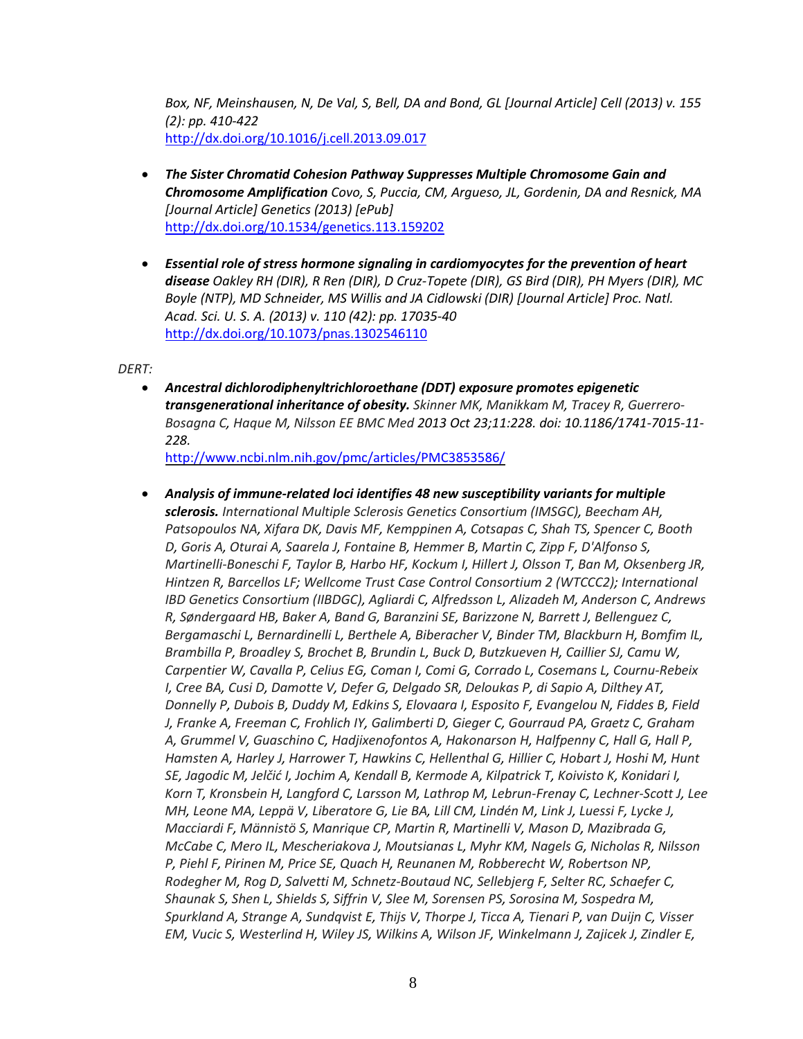*Box, NF, Meinshausen, N, De Val, S, Bell, DA and Bond, GL [Journal Article] Cell (2013) v. 155 (2): pp. 410-422* <http://dx.doi.org/10.1016/j.cell.2013.09.017>

- *The Sister Chromatid Cohesion Pathway Suppresses Multiple Chromosome Gain and Chromosome Amplification Covo, S, Puccia, CM, Argueso, JL, Gordenin, DA and Resnick, MA [Journal Article] Genetics (2013) [ePub]*  <http://dx.doi.org/10.1534/genetics.113.159202>
- *Essential role of stress hormone signaling in cardiomyocytes for the prevention of heart disease Oakley RH (DIR), R Ren (DIR), D Cruz-Topete (DIR), GS Bird (DIR), PH Myers (DIR), MC Boyle (NTP), MD Schneider, MS Willis and JA Cidlowski (DIR) [Journal Article] Proc. Natl. Acad. Sci. U. S. A. (2013) v. 110 (42): pp. 17035-40*  <http://dx.doi.org/10.1073/pnas.1302546110>

*DERT:* 

• *Ancestral dichlorodiphenyltrichloroethane (DDT) exposure promotes epigenetic transgenerational inheritance of obesity. [Skinner MK,](http://www.ncbi.nlm.nih.gov/pubmed?term=Skinner%20MK%5BAuthor%5D&cauthor=true&cauthor_uid=24228800) [Manikkam M,](http://www.ncbi.nlm.nih.gov/pubmed?term=Manikkam%20M%5BAuthor%5D&cauthor=true&cauthor_uid=24228800) [Tracey R,](http://www.ncbi.nlm.nih.gov/pubmed?term=Tracey%20R%5BAuthor%5D&cauthor=true&cauthor_uid=24228800) [Guerrero-](http://www.ncbi.nlm.nih.gov/pubmed?term=Guerrero-Bosagna%20C%5BAuthor%5D&cauthor=true&cauthor_uid=24228800)[Bosagna C,](http://www.ncbi.nlm.nih.gov/pubmed?term=Guerrero-Bosagna%20C%5BAuthor%5D&cauthor=true&cauthor_uid=24228800) [Haque M,](http://www.ncbi.nlm.nih.gov/pubmed?term=Haque%20M%5BAuthor%5D&cauthor=true&cauthor_uid=24228800) [Nilsson EE](http://www.ncbi.nlm.nih.gov/pubmed?term=Nilsson%20EE%5BAuthor%5D&cauthor=true&cauthor_uid=24228800) BMC Med 2013 Oct 23;11:228. doi: 10.1186/1741-7015-11- 228.*

<http://www.ncbi.nlm.nih.gov/pmc/articles/PMC3853586/>

• *Analysis of immune-related loci identifies 48 new susceptibility variants for multiple sclerosis. [International Multiple Sclerosis Genetics Consortium \(IMSGC\),](http://www.ncbi.nlm.nih.gov/pubmed?term=%22International%20Multiple%20Sclerosis%20Genetics%20Consortium%20(IMSGC)%22%5BCorporate%20Author%5D) [Beecham AH,](http://www.ncbi.nlm.nih.gov/pubmed?term=Beecham%20AH%5BAuthor%5D&cauthor=true&cauthor_uid=24076602) [Patsopoulos NA,](http://www.ncbi.nlm.nih.gov/pubmed?term=Patsopoulos%20NA%5BAuthor%5D&cauthor=true&cauthor_uid=24076602) [Xifara DK,](http://www.ncbi.nlm.nih.gov/pubmed?term=Xifara%20DK%5BAuthor%5D&cauthor=true&cauthor_uid=24076602) [Davis MF,](http://www.ncbi.nlm.nih.gov/pubmed?term=Davis%20MF%5BAuthor%5D&cauthor=true&cauthor_uid=24076602) [Kemppinen A,](http://www.ncbi.nlm.nih.gov/pubmed?term=Kemppinen%20A%5BAuthor%5D&cauthor=true&cauthor_uid=24076602) [Cotsapas C,](http://www.ncbi.nlm.nih.gov/pubmed?term=Cotsapas%20C%5BAuthor%5D&cauthor=true&cauthor_uid=24076602) [Shah TS,](http://www.ncbi.nlm.nih.gov/pubmed?term=Shah%20TS%5BAuthor%5D&cauthor=true&cauthor_uid=24076602) [Spencer C,](http://www.ncbi.nlm.nih.gov/pubmed?term=Spencer%20C%5BAuthor%5D&cauthor=true&cauthor_uid=24076602) [Booth](http://www.ncbi.nlm.nih.gov/pubmed?term=Booth%20D%5BAuthor%5D&cauthor=true&cauthor_uid=24076602)  [D,](http://www.ncbi.nlm.nih.gov/pubmed?term=Booth%20D%5BAuthor%5D&cauthor=true&cauthor_uid=24076602) [Goris A,](http://www.ncbi.nlm.nih.gov/pubmed?term=Goris%20A%5BAuthor%5D&cauthor=true&cauthor_uid=24076602) [Oturai A,](http://www.ncbi.nlm.nih.gov/pubmed?term=Oturai%20A%5BAuthor%5D&cauthor=true&cauthor_uid=24076602) [Saarela J,](http://www.ncbi.nlm.nih.gov/pubmed?term=Saarela%20J%5BAuthor%5D&cauthor=true&cauthor_uid=24076602) [Fontaine B,](http://www.ncbi.nlm.nih.gov/pubmed?term=Fontaine%20B%5BAuthor%5D&cauthor=true&cauthor_uid=24076602) [Hemmer B,](http://www.ncbi.nlm.nih.gov/pubmed?term=Hemmer%20B%5BAuthor%5D&cauthor=true&cauthor_uid=24076602) [Martin C,](http://www.ncbi.nlm.nih.gov/pubmed?term=Martin%20C%5BAuthor%5D&cauthor=true&cauthor_uid=24076602) [Zipp F,](http://www.ncbi.nlm.nih.gov/pubmed?term=Zipp%20F%5BAuthor%5D&cauthor=true&cauthor_uid=24076602) [D'Alfonso S,](http://www.ncbi.nlm.nih.gov/pubmed?term=D) [Martinelli-Boneschi F,](http://www.ncbi.nlm.nih.gov/pubmed?term=Martinelli-Boneschi%20F%5BAuthor%5D&cauthor=true&cauthor_uid=24076602) [Taylor B,](http://www.ncbi.nlm.nih.gov/pubmed?term=Taylor%20B%5BAuthor%5D&cauthor=true&cauthor_uid=24076602) [Harbo HF,](http://www.ncbi.nlm.nih.gov/pubmed?term=Harbo%20HF%5BAuthor%5D&cauthor=true&cauthor_uid=24076602) [Kockum I,](http://www.ncbi.nlm.nih.gov/pubmed?term=Kockum%20I%5BAuthor%5D&cauthor=true&cauthor_uid=24076602) [Hillert J,](http://www.ncbi.nlm.nih.gov/pubmed?term=Hillert%20J%5BAuthor%5D&cauthor=true&cauthor_uid=24076602) [Olsson T,](http://www.ncbi.nlm.nih.gov/pubmed?term=Olsson%20T%5BAuthor%5D&cauthor=true&cauthor_uid=24076602) [Ban M,](http://www.ncbi.nlm.nih.gov/pubmed?term=Ban%20M%5BAuthor%5D&cauthor=true&cauthor_uid=24076602) [Oksenberg JR,](http://www.ncbi.nlm.nih.gov/pubmed?term=Oksenberg%20JR%5BAuthor%5D&cauthor=true&cauthor_uid=24076602) [Hintzen R,](http://www.ncbi.nlm.nih.gov/pubmed?term=Hintzen%20R%5BAuthor%5D&cauthor=true&cauthor_uid=24076602) [Barcellos LF;](http://www.ncbi.nlm.nih.gov/pubmed?term=Barcellos%20LF%5BAuthor%5D&cauthor=true&cauthor_uid=24076602) [Wellcome Trust Case Control Consortium 2 \(WTCCC2\);](http://www.ncbi.nlm.nih.gov/pubmed?term=%22Wellcome%20Trust%20Case%20Control%20Consortium%202%20(WTCCC2)%22%5BCorporate%20Author%5D) [International](http://www.ncbi.nlm.nih.gov/pubmed?term=%22International%20IBD%20Genetics%20Consortium%20(IIBDGC)%22%5BCorporate%20Author%5D)  [IBD Genetics Consortium \(IIBDGC\),](http://www.ncbi.nlm.nih.gov/pubmed?term=%22International%20IBD%20Genetics%20Consortium%20(IIBDGC)%22%5BCorporate%20Author%5D) [Agliardi C,](http://www.ncbi.nlm.nih.gov/pubmed?term=Agliardi%20C%5BAuthor%5D&cauthor=true&cauthor_uid=24076602) [Alfredsson L,](http://www.ncbi.nlm.nih.gov/pubmed?term=Alfredsson%20L%5BAuthor%5D&cauthor=true&cauthor_uid=24076602) [Alizadeh M,](http://www.ncbi.nlm.nih.gov/pubmed?term=Alizadeh%20M%5BAuthor%5D&cauthor=true&cauthor_uid=24076602) [Anderson C,](http://www.ncbi.nlm.nih.gov/pubmed?term=Anderson%20C%5BAuthor%5D&cauthor=true&cauthor_uid=24076602) [Andrews](http://www.ncbi.nlm.nih.gov/pubmed?term=Andrews%20R%5BAuthor%5D&cauthor=true&cauthor_uid=24076602)  [R,](http://www.ncbi.nlm.nih.gov/pubmed?term=Andrews%20R%5BAuthor%5D&cauthor=true&cauthor_uid=24076602) [Søndergaard](http://www.ncbi.nlm.nih.gov/pubmed?term=S%C3%B8ndergaard%20HB%5BAuthor%5D&cauthor=true&cauthor_uid=24076602) HB, [Baker A,](http://www.ncbi.nlm.nih.gov/pubmed?term=Baker%20A%5BAuthor%5D&cauthor=true&cauthor_uid=24076602) [Band G,](http://www.ncbi.nlm.nih.gov/pubmed?term=Band%20G%5BAuthor%5D&cauthor=true&cauthor_uid=24076602) [Baranzini SE,](http://www.ncbi.nlm.nih.gov/pubmed?term=Baranzini%20SE%5BAuthor%5D&cauthor=true&cauthor_uid=24076602) [Barizzone N,](http://www.ncbi.nlm.nih.gov/pubmed?term=Barizzone%20N%5BAuthor%5D&cauthor=true&cauthor_uid=24076602) [Barrett J,](http://www.ncbi.nlm.nih.gov/pubmed?term=Barrett%20J%5BAuthor%5D&cauthor=true&cauthor_uid=24076602) [Bellenguez C,](http://www.ncbi.nlm.nih.gov/pubmed?term=Bellenguez%20C%5BAuthor%5D&cauthor=true&cauthor_uid=24076602) [Bergamaschi L,](http://www.ncbi.nlm.nih.gov/pubmed?term=Bergamaschi%20L%5BAuthor%5D&cauthor=true&cauthor_uid=24076602) [Bernardinelli L,](http://www.ncbi.nlm.nih.gov/pubmed?term=Bernardinelli%20L%5BAuthor%5D&cauthor=true&cauthor_uid=24076602) [Berthele A,](http://www.ncbi.nlm.nih.gov/pubmed?term=Berthele%20A%5BAuthor%5D&cauthor=true&cauthor_uid=24076602) [Biberacher V,](http://www.ncbi.nlm.nih.gov/pubmed?term=Biberacher%20V%5BAuthor%5D&cauthor=true&cauthor_uid=24076602) [Binder TM,](http://www.ncbi.nlm.nih.gov/pubmed?term=Binder%20TM%5BAuthor%5D&cauthor=true&cauthor_uid=24076602) [Blackburn H,](http://www.ncbi.nlm.nih.gov/pubmed?term=Blackburn%20H%5BAuthor%5D&cauthor=true&cauthor_uid=24076602) [Bomfim IL,](http://www.ncbi.nlm.nih.gov/pubmed?term=Bomfim%20IL%5BAuthor%5D&cauthor=true&cauthor_uid=24076602) [Brambilla P,](http://www.ncbi.nlm.nih.gov/pubmed?term=Brambilla%20P%5BAuthor%5D&cauthor=true&cauthor_uid=24076602) [Broadley S,](http://www.ncbi.nlm.nih.gov/pubmed?term=Broadley%20S%5BAuthor%5D&cauthor=true&cauthor_uid=24076602) [Brochet B,](http://www.ncbi.nlm.nih.gov/pubmed?term=Brochet%20B%5BAuthor%5D&cauthor=true&cauthor_uid=24076602) [Brundin L,](http://www.ncbi.nlm.nih.gov/pubmed?term=Brundin%20L%5BAuthor%5D&cauthor=true&cauthor_uid=24076602) [Buck D,](http://www.ncbi.nlm.nih.gov/pubmed?term=Buck%20D%5BAuthor%5D&cauthor=true&cauthor_uid=24076602) [Butzkueven H,](http://www.ncbi.nlm.nih.gov/pubmed?term=Butzkueven%20H%5BAuthor%5D&cauthor=true&cauthor_uid=24076602) [Caillier SJ,](http://www.ncbi.nlm.nih.gov/pubmed?term=Caillier%20SJ%5BAuthor%5D&cauthor=true&cauthor_uid=24076602) [Camu W,](http://www.ncbi.nlm.nih.gov/pubmed?term=Camu%20W%5BAuthor%5D&cauthor=true&cauthor_uid=24076602) [Carpentier W,](http://www.ncbi.nlm.nih.gov/pubmed?term=Carpentier%20W%5BAuthor%5D&cauthor=true&cauthor_uid=24076602) [Cavalla P,](http://www.ncbi.nlm.nih.gov/pubmed?term=Cavalla%20P%5BAuthor%5D&cauthor=true&cauthor_uid=24076602) [Celius EG,](http://www.ncbi.nlm.nih.gov/pubmed?term=Celius%20EG%5BAuthor%5D&cauthor=true&cauthor_uid=24076602) [Coman I,](http://www.ncbi.nlm.nih.gov/pubmed?term=Coman%20I%5BAuthor%5D&cauthor=true&cauthor_uid=24076602) [Comi G,](http://www.ncbi.nlm.nih.gov/pubmed?term=Comi%20G%5BAuthor%5D&cauthor=true&cauthor_uid=24076602) [Corrado L,](http://www.ncbi.nlm.nih.gov/pubmed?term=Corrado%20L%5BAuthor%5D&cauthor=true&cauthor_uid=24076602) [Cosemans L,](http://www.ncbi.nlm.nih.gov/pubmed?term=Cosemans%20L%5BAuthor%5D&cauthor=true&cauthor_uid=24076602) [Cournu-Rebeix](http://www.ncbi.nlm.nih.gov/pubmed?term=Cournu-Rebeix%20I%5BAuthor%5D&cauthor=true&cauthor_uid=24076602)  [I,](http://www.ncbi.nlm.nih.gov/pubmed?term=Cournu-Rebeix%20I%5BAuthor%5D&cauthor=true&cauthor_uid=24076602) [Cree BA,](http://www.ncbi.nlm.nih.gov/pubmed?term=Cree%20BA%5BAuthor%5D&cauthor=true&cauthor_uid=24076602) [Cusi D,](http://www.ncbi.nlm.nih.gov/pubmed?term=Cusi%20D%5BAuthor%5D&cauthor=true&cauthor_uid=24076602) [Damotte V,](http://www.ncbi.nlm.nih.gov/pubmed?term=Damotte%20V%5BAuthor%5D&cauthor=true&cauthor_uid=24076602) [Defer G,](http://www.ncbi.nlm.nih.gov/pubmed?term=Defer%20G%5BAuthor%5D&cauthor=true&cauthor_uid=24076602) [Delgado SR,](http://www.ncbi.nlm.nih.gov/pubmed?term=Delgado%20SR%5BAuthor%5D&cauthor=true&cauthor_uid=24076602) [Deloukas P,](http://www.ncbi.nlm.nih.gov/pubmed?term=Deloukas%20P%5BAuthor%5D&cauthor=true&cauthor_uid=24076602) [di Sapio A,](http://www.ncbi.nlm.nih.gov/pubmed?term=di%20Sapio%20A%5BAuthor%5D&cauthor=true&cauthor_uid=24076602) [Dilthey AT,](http://www.ncbi.nlm.nih.gov/pubmed?term=Dilthey%20AT%5BAuthor%5D&cauthor=true&cauthor_uid=24076602) [Donnelly P,](http://www.ncbi.nlm.nih.gov/pubmed?term=Donnelly%20P%5BAuthor%5D&cauthor=true&cauthor_uid=24076602) [Dubois B,](http://www.ncbi.nlm.nih.gov/pubmed?term=Dubois%20B%5BAuthor%5D&cauthor=true&cauthor_uid=24076602) [Duddy M,](http://www.ncbi.nlm.nih.gov/pubmed?term=Duddy%20M%5BAuthor%5D&cauthor=true&cauthor_uid=24076602) [Edkins S,](http://www.ncbi.nlm.nih.gov/pubmed?term=Edkins%20S%5BAuthor%5D&cauthor=true&cauthor_uid=24076602) [Elovaara I,](http://www.ncbi.nlm.nih.gov/pubmed?term=Elovaara%20I%5BAuthor%5D&cauthor=true&cauthor_uid=24076602) [Esposito F,](http://www.ncbi.nlm.nih.gov/pubmed?term=Esposito%20F%5BAuthor%5D&cauthor=true&cauthor_uid=24076602) [Evangelou N,](http://www.ncbi.nlm.nih.gov/pubmed?term=Evangelou%20N%5BAuthor%5D&cauthor=true&cauthor_uid=24076602) [Fiddes B,](http://www.ncbi.nlm.nih.gov/pubmed?term=Fiddes%20B%5BAuthor%5D&cauthor=true&cauthor_uid=24076602) [Field](http://www.ncbi.nlm.nih.gov/pubmed?term=Field%20J%5BAuthor%5D&cauthor=true&cauthor_uid=24076602)  [J,](http://www.ncbi.nlm.nih.gov/pubmed?term=Field%20J%5BAuthor%5D&cauthor=true&cauthor_uid=24076602) [Franke A,](http://www.ncbi.nlm.nih.gov/pubmed?term=Franke%20A%5BAuthor%5D&cauthor=true&cauthor_uid=24076602) [Freeman C,](http://www.ncbi.nlm.nih.gov/pubmed?term=Freeman%20C%5BAuthor%5D&cauthor=true&cauthor_uid=24076602) [Frohlich IY,](http://www.ncbi.nlm.nih.gov/pubmed?term=Frohlich%20IY%5BAuthor%5D&cauthor=true&cauthor_uid=24076602) [Galimberti D,](http://www.ncbi.nlm.nih.gov/pubmed?term=Galimberti%20D%5BAuthor%5D&cauthor=true&cauthor_uid=24076602) [Gieger C,](http://www.ncbi.nlm.nih.gov/pubmed?term=Gieger%20C%5BAuthor%5D&cauthor=true&cauthor_uid=24076602) [Gourraud PA,](http://www.ncbi.nlm.nih.gov/pubmed?term=Gourraud%20PA%5BAuthor%5D&cauthor=true&cauthor_uid=24076602) [Graetz C,](http://www.ncbi.nlm.nih.gov/pubmed?term=Graetz%20C%5BAuthor%5D&cauthor=true&cauthor_uid=24076602) [Graham](http://www.ncbi.nlm.nih.gov/pubmed?term=Graham%20A%5BAuthor%5D&cauthor=true&cauthor_uid=24076602)  [A,](http://www.ncbi.nlm.nih.gov/pubmed?term=Graham%20A%5BAuthor%5D&cauthor=true&cauthor_uid=24076602) [Grummel V,](http://www.ncbi.nlm.nih.gov/pubmed?term=Grummel%20V%5BAuthor%5D&cauthor=true&cauthor_uid=24076602) [Guaschino C,](http://www.ncbi.nlm.nih.gov/pubmed?term=Guaschino%20C%5BAuthor%5D&cauthor=true&cauthor_uid=24076602) [Hadjixenofontos A,](http://www.ncbi.nlm.nih.gov/pubmed?term=Hadjixenofontos%20A%5BAuthor%5D&cauthor=true&cauthor_uid=24076602) [Hakonarson H,](http://www.ncbi.nlm.nih.gov/pubmed?term=Hakonarson%20H%5BAuthor%5D&cauthor=true&cauthor_uid=24076602) [Halfpenny C,](http://www.ncbi.nlm.nih.gov/pubmed?term=Halfpenny%20C%5BAuthor%5D&cauthor=true&cauthor_uid=24076602) [Hall G,](http://www.ncbi.nlm.nih.gov/pubmed?term=Hall%20G%5BAuthor%5D&cauthor=true&cauthor_uid=24076602) [Hall P,](http://www.ncbi.nlm.nih.gov/pubmed?term=Hall%20P%5BAuthor%5D&cauthor=true&cauthor_uid=24076602) [Hamsten A,](http://www.ncbi.nlm.nih.gov/pubmed?term=Hamsten%20A%5BAuthor%5D&cauthor=true&cauthor_uid=24076602) [Harley J,](http://www.ncbi.nlm.nih.gov/pubmed?term=Harley%20J%5BAuthor%5D&cauthor=true&cauthor_uid=24076602) [Harrower T,](http://www.ncbi.nlm.nih.gov/pubmed?term=Harrower%20T%5BAuthor%5D&cauthor=true&cauthor_uid=24076602) [Hawkins C,](http://www.ncbi.nlm.nih.gov/pubmed?term=Hawkins%20C%5BAuthor%5D&cauthor=true&cauthor_uid=24076602) [Hellenthal G,](http://www.ncbi.nlm.nih.gov/pubmed?term=Hellenthal%20G%5BAuthor%5D&cauthor=true&cauthor_uid=24076602) [Hillier C,](http://www.ncbi.nlm.nih.gov/pubmed?term=Hillier%20C%5BAuthor%5D&cauthor=true&cauthor_uid=24076602) [Hobart J,](http://www.ncbi.nlm.nih.gov/pubmed?term=Hobart%20J%5BAuthor%5D&cauthor=true&cauthor_uid=24076602) [Hoshi M,](http://www.ncbi.nlm.nih.gov/pubmed?term=Hoshi%20M%5BAuthor%5D&cauthor=true&cauthor_uid=24076602) [Hunt](http://www.ncbi.nlm.nih.gov/pubmed?term=Hunt%20SE%5BAuthor%5D&cauthor=true&cauthor_uid=24076602)  [SE,](http://www.ncbi.nlm.nih.gov/pubmed?term=Hunt%20SE%5BAuthor%5D&cauthor=true&cauthor_uid=24076602) [Jagodic M,](http://www.ncbi.nlm.nih.gov/pubmed?term=Jagodic%20M%5BAuthor%5D&cauthor=true&cauthor_uid=24076602) [Jelčić I](http://www.ncbi.nlm.nih.gov/pubmed?term=Jel%C4%8Di%C4%87%20I%5BAuthor%5D&cauthor=true&cauthor_uid=24076602), [Jochim A,](http://www.ncbi.nlm.nih.gov/pubmed?term=Jochim%20A%5BAuthor%5D&cauthor=true&cauthor_uid=24076602) [Kendall B,](http://www.ncbi.nlm.nih.gov/pubmed?term=Kendall%20B%5BAuthor%5D&cauthor=true&cauthor_uid=24076602) [Kermode A,](http://www.ncbi.nlm.nih.gov/pubmed?term=Kermode%20A%5BAuthor%5D&cauthor=true&cauthor_uid=24076602) [Kilpatrick T,](http://www.ncbi.nlm.nih.gov/pubmed?term=Kilpatrick%20T%5BAuthor%5D&cauthor=true&cauthor_uid=24076602) [Koivisto K,](http://www.ncbi.nlm.nih.gov/pubmed?term=Koivisto%20K%5BAuthor%5D&cauthor=true&cauthor_uid=24076602) [Konidari I,](http://www.ncbi.nlm.nih.gov/pubmed?term=Konidari%20I%5BAuthor%5D&cauthor=true&cauthor_uid=24076602) [Korn T,](http://www.ncbi.nlm.nih.gov/pubmed?term=Korn%20T%5BAuthor%5D&cauthor=true&cauthor_uid=24076602) [Kronsbein H,](http://www.ncbi.nlm.nih.gov/pubmed?term=Kronsbein%20H%5BAuthor%5D&cauthor=true&cauthor_uid=24076602) [Langford C,](http://www.ncbi.nlm.nih.gov/pubmed?term=Langford%20C%5BAuthor%5D&cauthor=true&cauthor_uid=24076602) [Larsson M,](http://www.ncbi.nlm.nih.gov/pubmed?term=Larsson%20M%5BAuthor%5D&cauthor=true&cauthor_uid=24076602) [Lathrop M,](http://www.ncbi.nlm.nih.gov/pubmed?term=Lathrop%20M%5BAuthor%5D&cauthor=true&cauthor_uid=24076602) [Lebrun-Frenay C,](http://www.ncbi.nlm.nih.gov/pubmed?term=Lebrun-Frenay%20C%5BAuthor%5D&cauthor=true&cauthor_uid=24076602) [Lechner-Scott J,](http://www.ncbi.nlm.nih.gov/pubmed?term=Lechner-Scott%20J%5BAuthor%5D&cauthor=true&cauthor_uid=24076602) [Lee](http://www.ncbi.nlm.nih.gov/pubmed?term=Lee%20MH%5BAuthor%5D&cauthor=true&cauthor_uid=24076602)  [MH,](http://www.ncbi.nlm.nih.gov/pubmed?term=Lee%20MH%5BAuthor%5D&cauthor=true&cauthor_uid=24076602) [Leone MA,](http://www.ncbi.nlm.nih.gov/pubmed?term=Leone%20MA%5BAuthor%5D&cauthor=true&cauthor_uid=24076602) [Leppä V,](http://www.ncbi.nlm.nih.gov/pubmed?term=Lepp%C3%A4%20V%5BAuthor%5D&cauthor=true&cauthor_uid=24076602) [Liberatore G,](http://www.ncbi.nlm.nih.gov/pubmed?term=Liberatore%20G%5BAuthor%5D&cauthor=true&cauthor_uid=24076602) [Lie BA,](http://www.ncbi.nlm.nih.gov/pubmed?term=Lie%20BA%5BAuthor%5D&cauthor=true&cauthor_uid=24076602) [Lill CM,](http://www.ncbi.nlm.nih.gov/pubmed?term=Lill%20CM%5BAuthor%5D&cauthor=true&cauthor_uid=24076602) [Lindén M,](http://www.ncbi.nlm.nih.gov/pubmed?term=Lind%C3%A9n%20M%5BAuthor%5D&cauthor=true&cauthor_uid=24076602) [Link J,](http://www.ncbi.nlm.nih.gov/pubmed?term=Link%20J%5BAuthor%5D&cauthor=true&cauthor_uid=24076602) [Luessi F,](http://www.ncbi.nlm.nih.gov/pubmed?term=Luessi%20F%5BAuthor%5D&cauthor=true&cauthor_uid=24076602) [Lycke J,](http://www.ncbi.nlm.nih.gov/pubmed?term=Lycke%20J%5BAuthor%5D&cauthor=true&cauthor_uid=24076602) [Macciardi F,](http://www.ncbi.nlm.nih.gov/pubmed?term=Macciardi%20F%5BAuthor%5D&cauthor=true&cauthor_uid=24076602) [Männistö S,](http://www.ncbi.nlm.nih.gov/pubmed?term=M%C3%A4nnist%C3%B6%20S%5BAuthor%5D&cauthor=true&cauthor_uid=24076602) [Manrique CP,](http://www.ncbi.nlm.nih.gov/pubmed?term=Manrique%20CP%5BAuthor%5D&cauthor=true&cauthor_uid=24076602) [Martin R,](http://www.ncbi.nlm.nih.gov/pubmed?term=Martin%20R%5BAuthor%5D&cauthor=true&cauthor_uid=24076602) [Martinelli V,](http://www.ncbi.nlm.nih.gov/pubmed?term=Martinelli%20V%5BAuthor%5D&cauthor=true&cauthor_uid=24076602) [Mason D,](http://www.ncbi.nlm.nih.gov/pubmed?term=Mason%20D%5BAuthor%5D&cauthor=true&cauthor_uid=24076602) [Mazibrada G,](http://www.ncbi.nlm.nih.gov/pubmed?term=Mazibrada%20G%5BAuthor%5D&cauthor=true&cauthor_uid=24076602) [McCabe C,](http://www.ncbi.nlm.nih.gov/pubmed?term=McCabe%20C%5BAuthor%5D&cauthor=true&cauthor_uid=24076602) [Mero IL,](http://www.ncbi.nlm.nih.gov/pubmed?term=Mero%20IL%5BAuthor%5D&cauthor=true&cauthor_uid=24076602) [Mescheriakova J,](http://www.ncbi.nlm.nih.gov/pubmed?term=Mescheriakova%20J%5BAuthor%5D&cauthor=true&cauthor_uid=24076602) [Moutsianas L,](http://www.ncbi.nlm.nih.gov/pubmed?term=Moutsianas%20L%5BAuthor%5D&cauthor=true&cauthor_uid=24076602) [Myhr KM,](http://www.ncbi.nlm.nih.gov/pubmed?term=Myhr%20KM%5BAuthor%5D&cauthor=true&cauthor_uid=24076602) [Nagels G,](http://www.ncbi.nlm.nih.gov/pubmed?term=Nagels%20G%5BAuthor%5D&cauthor=true&cauthor_uid=24076602) [Nicholas R,](http://www.ncbi.nlm.nih.gov/pubmed?term=Nicholas%20R%5BAuthor%5D&cauthor=true&cauthor_uid=24076602) [Nilsson](http://www.ncbi.nlm.nih.gov/pubmed?term=Nilsson%20P%5BAuthor%5D&cauthor=true&cauthor_uid=24076602)  [P,](http://www.ncbi.nlm.nih.gov/pubmed?term=Nilsson%20P%5BAuthor%5D&cauthor=true&cauthor_uid=24076602) [Piehl F,](http://www.ncbi.nlm.nih.gov/pubmed?term=Piehl%20F%5BAuthor%5D&cauthor=true&cauthor_uid=24076602) [Pirinen M,](http://www.ncbi.nlm.nih.gov/pubmed?term=Pirinen%20M%5BAuthor%5D&cauthor=true&cauthor_uid=24076602) [Price SE,](http://www.ncbi.nlm.nih.gov/pubmed?term=Price%20SE%5BAuthor%5D&cauthor=true&cauthor_uid=24076602) [Quach H,](http://www.ncbi.nlm.nih.gov/pubmed?term=Quach%20H%5BAuthor%5D&cauthor=true&cauthor_uid=24076602) [Reunanen M,](http://www.ncbi.nlm.nih.gov/pubmed?term=Reunanen%20M%5BAuthor%5D&cauthor=true&cauthor_uid=24076602) [Robberecht W,](http://www.ncbi.nlm.nih.gov/pubmed?term=Robberecht%20W%5BAuthor%5D&cauthor=true&cauthor_uid=24076602) [Robertson NP,](http://www.ncbi.nlm.nih.gov/pubmed?term=Robertson%20NP%5BAuthor%5D&cauthor=true&cauthor_uid=24076602) [Rodegher M,](http://www.ncbi.nlm.nih.gov/pubmed?term=Rodegher%20M%5BAuthor%5D&cauthor=true&cauthor_uid=24076602) [Rog D,](http://www.ncbi.nlm.nih.gov/pubmed?term=Rog%20D%5BAuthor%5D&cauthor=true&cauthor_uid=24076602) [Salvetti M,](http://www.ncbi.nlm.nih.gov/pubmed?term=Salvetti%20M%5BAuthor%5D&cauthor=true&cauthor_uid=24076602) [Schnetz-Boutaud NC,](http://www.ncbi.nlm.nih.gov/pubmed?term=Schnetz-Boutaud%20NC%5BAuthor%5D&cauthor=true&cauthor_uid=24076602) [Sellebjerg F,](http://www.ncbi.nlm.nih.gov/pubmed?term=Sellebjerg%20F%5BAuthor%5D&cauthor=true&cauthor_uid=24076602) [Selter RC,](http://www.ncbi.nlm.nih.gov/pubmed?term=Selter%20RC%5BAuthor%5D&cauthor=true&cauthor_uid=24076602) [Schaefer C,](http://www.ncbi.nlm.nih.gov/pubmed?term=Schaefer%20C%5BAuthor%5D&cauthor=true&cauthor_uid=24076602) [Shaunak S,](http://www.ncbi.nlm.nih.gov/pubmed?term=Shaunak%20S%5BAuthor%5D&cauthor=true&cauthor_uid=24076602) [Shen L,](http://www.ncbi.nlm.nih.gov/pubmed?term=Shen%20L%5BAuthor%5D&cauthor=true&cauthor_uid=24076602) [Shields S,](http://www.ncbi.nlm.nih.gov/pubmed?term=Shields%20S%5BAuthor%5D&cauthor=true&cauthor_uid=24076602) [Siffrin V,](http://www.ncbi.nlm.nih.gov/pubmed?term=Siffrin%20V%5BAuthor%5D&cauthor=true&cauthor_uid=24076602) [Slee M,](http://www.ncbi.nlm.nih.gov/pubmed?term=Slee%20M%5BAuthor%5D&cauthor=true&cauthor_uid=24076602) [Sorensen PS,](http://www.ncbi.nlm.nih.gov/pubmed?term=Sorensen%20PS%5BAuthor%5D&cauthor=true&cauthor_uid=24076602) [Sorosina M,](http://www.ncbi.nlm.nih.gov/pubmed?term=Sorosina%20M%5BAuthor%5D&cauthor=true&cauthor_uid=24076602) [Sospedra M,](http://www.ncbi.nlm.nih.gov/pubmed?term=Sospedra%20M%5BAuthor%5D&cauthor=true&cauthor_uid=24076602) [Spurkland A,](http://www.ncbi.nlm.nih.gov/pubmed?term=Spurkland%20A%5BAuthor%5D&cauthor=true&cauthor_uid=24076602) [Strange A,](http://www.ncbi.nlm.nih.gov/pubmed?term=Strange%20A%5BAuthor%5D&cauthor=true&cauthor_uid=24076602) [Sundqvist E,](http://www.ncbi.nlm.nih.gov/pubmed?term=Sundqvist%20E%5BAuthor%5D&cauthor=true&cauthor_uid=24076602) [Thijs V,](http://www.ncbi.nlm.nih.gov/pubmed?term=Thijs%20V%5BAuthor%5D&cauthor=true&cauthor_uid=24076602) [Thorpe J,](http://www.ncbi.nlm.nih.gov/pubmed?term=Thorpe%20J%5BAuthor%5D&cauthor=true&cauthor_uid=24076602) [Ticca A,](http://www.ncbi.nlm.nih.gov/pubmed?term=Ticca%20A%5BAuthor%5D&cauthor=true&cauthor_uid=24076602) [Tienari P,](http://www.ncbi.nlm.nih.gov/pubmed?term=Tienari%20P%5BAuthor%5D&cauthor=true&cauthor_uid=24076602) [van Duijn C,](http://www.ncbi.nlm.nih.gov/pubmed?term=van%20Duijn%20C%5BAuthor%5D&cauthor=true&cauthor_uid=24076602) [Visser](http://www.ncbi.nlm.nih.gov/pubmed?term=Visser%20EM%5BAuthor%5D&cauthor=true&cauthor_uid=24076602)  [EM,](http://www.ncbi.nlm.nih.gov/pubmed?term=Visser%20EM%5BAuthor%5D&cauthor=true&cauthor_uid=24076602) [Vucic S,](http://www.ncbi.nlm.nih.gov/pubmed?term=Vucic%20S%5BAuthor%5D&cauthor=true&cauthor_uid=24076602) [Westerlind H,](http://www.ncbi.nlm.nih.gov/pubmed?term=Westerlind%20H%5BAuthor%5D&cauthor=true&cauthor_uid=24076602) [Wiley JS,](http://www.ncbi.nlm.nih.gov/pubmed?term=Wiley%20JS%5BAuthor%5D&cauthor=true&cauthor_uid=24076602) [Wilkins A,](http://www.ncbi.nlm.nih.gov/pubmed?term=Wilkins%20A%5BAuthor%5D&cauthor=true&cauthor_uid=24076602) [Wilson JF,](http://www.ncbi.nlm.nih.gov/pubmed?term=Wilson%20JF%5BAuthor%5D&cauthor=true&cauthor_uid=24076602) [Winkelmann J,](http://www.ncbi.nlm.nih.gov/pubmed?term=Winkelmann%20J%5BAuthor%5D&cauthor=true&cauthor_uid=24076602) [Zajicek J,](http://www.ncbi.nlm.nih.gov/pubmed?term=Zajicek%20J%5BAuthor%5D&cauthor=true&cauthor_uid=24076602) [Zindler E,](http://www.ncbi.nlm.nih.gov/pubmed?term=Zindler%20E%5BAuthor%5D&cauthor=true&cauthor_uid=24076602)*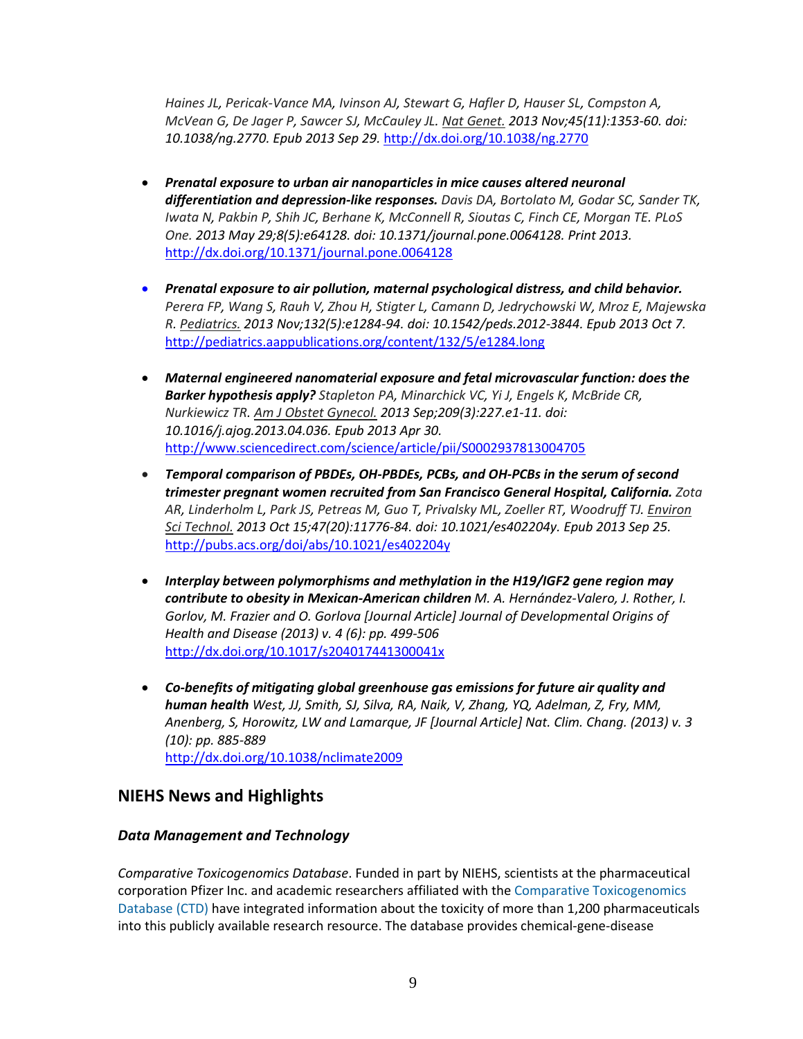*[Haines JL,](http://www.ncbi.nlm.nih.gov/pubmed?term=Haines%20JL%5BAuthor%5D&cauthor=true&cauthor_uid=24076602) [Pericak-Vance MA,](http://www.ncbi.nlm.nih.gov/pubmed?term=Pericak-Vance%20MA%5BAuthor%5D&cauthor=true&cauthor_uid=24076602) [Ivinson AJ,](http://www.ncbi.nlm.nih.gov/pubmed?term=Ivinson%20AJ%5BAuthor%5D&cauthor=true&cauthor_uid=24076602) [Stewart G,](http://www.ncbi.nlm.nih.gov/pubmed?term=Stewart%20G%5BAuthor%5D&cauthor=true&cauthor_uid=24076602) [Hafler D,](http://www.ncbi.nlm.nih.gov/pubmed?term=Hafler%20D%5BAuthor%5D&cauthor=true&cauthor_uid=24076602) [Hauser SL,](http://www.ncbi.nlm.nih.gov/pubmed?term=Hauser%20SL%5BAuthor%5D&cauthor=true&cauthor_uid=24076602) [Compston A,](http://www.ncbi.nlm.nih.gov/pubmed?term=Compston%20A%5BAuthor%5D&cauthor=true&cauthor_uid=24076602) [McVean G,](http://www.ncbi.nlm.nih.gov/pubmed?term=McVean%20G%5BAuthor%5D&cauthor=true&cauthor_uid=24076602) [De Jager P,](http://www.ncbi.nlm.nih.gov/pubmed?term=De%20Jager%20P%5BAuthor%5D&cauthor=true&cauthor_uid=24076602) [Sawcer SJ,](http://www.ncbi.nlm.nih.gov/pubmed?term=Sawcer%20SJ%5BAuthor%5D&cauthor=true&cauthor_uid=24076602) [McCauley JL.](http://www.ncbi.nlm.nih.gov/pubmed?term=McCauley%20JL%5BAuthor%5D&cauthor=true&cauthor_uid=24076602) Nat Genet. 2013 Nov;45(11):1353-60. doi: 10.1038/ng.2770. Epub 2013 Sep 29.* <http://dx.doi.org/10.1038/ng.2770>

- *Prenatal exposure to urban air nanoparticles in mice causes altered neuronal differentiation and depression-like responses. [Davis DA,](http://www.ncbi.nlm.nih.gov/pubmed?term=Davis%20DA%5BAuthor%5D&cauthor=true&cauthor_uid=23734187) [Bortolato M,](http://www.ncbi.nlm.nih.gov/pubmed?term=Bortolato%20M%5BAuthor%5D&cauthor=true&cauthor_uid=23734187) [Godar SC,](http://www.ncbi.nlm.nih.gov/pubmed?term=Godar%20SC%5BAuthor%5D&cauthor=true&cauthor_uid=23734187) [Sander TK,](http://www.ncbi.nlm.nih.gov/pubmed?term=Sander%20TK%5BAuthor%5D&cauthor=true&cauthor_uid=23734187) [Iwata N,](http://www.ncbi.nlm.nih.gov/pubmed?term=Iwata%20N%5BAuthor%5D&cauthor=true&cauthor_uid=23734187) [Pakbin P,](http://www.ncbi.nlm.nih.gov/pubmed?term=Pakbin%20P%5BAuthor%5D&cauthor=true&cauthor_uid=23734187) [Shih JC,](http://www.ncbi.nlm.nih.gov/pubmed?term=Shih%20JC%5BAuthor%5D&cauthor=true&cauthor_uid=23734187) [Berhane K,](http://www.ncbi.nlm.nih.gov/pubmed?term=Berhane%20K%5BAuthor%5D&cauthor=true&cauthor_uid=23734187) [McConnell R,](http://www.ncbi.nlm.nih.gov/pubmed?term=McConnell%20R%5BAuthor%5D&cauthor=true&cauthor_uid=23734187) [Sioutas C,](http://www.ncbi.nlm.nih.gov/pubmed?term=Sioutas%20C%5BAuthor%5D&cauthor=true&cauthor_uid=23734187) [Finch CE,](http://www.ncbi.nlm.nih.gov/pubmed?term=Finch%20CE%5BAuthor%5D&cauthor=true&cauthor_uid=23734187) [Morgan TE.](http://www.ncbi.nlm.nih.gov/pubmed?term=Morgan%20TE%5BAuthor%5D&cauthor=true&cauthor_uid=23734187) PLoS One. 2013 May 29;8(5):e64128. doi: 10.1371/journal.pone.0064128. Print 2013.* <http://dx.doi.org/10.1371/journal.pone.0064128>
- *Prenatal exposure to air pollution, maternal psychological distress, and child behavior. [Perera FP,](http://www.ncbi.nlm.nih.gov/pubmed?term=Perera%20FP%5BAuthor%5D&cauthor=true&cauthor_uid=24101766) [Wang S,](http://www.ncbi.nlm.nih.gov/pubmed?term=Wang%20S%5BAuthor%5D&cauthor=true&cauthor_uid=24101766) [Rauh V,](http://www.ncbi.nlm.nih.gov/pubmed?term=Rauh%20V%5BAuthor%5D&cauthor=true&cauthor_uid=24101766) [Zhou H,](http://www.ncbi.nlm.nih.gov/pubmed?term=Zhou%20H%5BAuthor%5D&cauthor=true&cauthor_uid=24101766) [Stigter L,](http://www.ncbi.nlm.nih.gov/pubmed?term=Stigter%20L%5BAuthor%5D&cauthor=true&cauthor_uid=24101766) [Camann D,](http://www.ncbi.nlm.nih.gov/pubmed?term=Camann%20D%5BAuthor%5D&cauthor=true&cauthor_uid=24101766) [Jedrychowski W,](http://www.ncbi.nlm.nih.gov/pubmed?term=Jedrychowski%20W%5BAuthor%5D&cauthor=true&cauthor_uid=24101766) [Mroz E,](http://www.ncbi.nlm.nih.gov/pubmed?term=Mroz%20E%5BAuthor%5D&cauthor=true&cauthor_uid=24101766) [Majewska](http://www.ncbi.nlm.nih.gov/pubmed?term=Majewska%20R%5BAuthor%5D&cauthor=true&cauthor_uid=24101766)  [R.](http://www.ncbi.nlm.nih.gov/pubmed?term=Majewska%20R%5BAuthor%5D&cauthor=true&cauthor_uid=24101766) Pediatrics. 2013 Nov;132(5):e1284-94. doi: 10.1542/peds.2012-3844. Epub 2013 Oct 7.*  <http://pediatrics.aappublications.org/content/132/5/e1284.long>
- *Maternal engineered nanomaterial exposure and fetal microvascular function: does the Barker hypothesis apply? [Stapleton PA,](http://www.ncbi.nlm.nih.gov/pubmed?term=Stapleton%20PA%5BAuthor%5D&cauthor=true&cauthor_uid=23643573) [Minarchick VC,](http://www.ncbi.nlm.nih.gov/pubmed?term=Minarchick%20VC%5BAuthor%5D&cauthor=true&cauthor_uid=23643573) [Yi J,](http://www.ncbi.nlm.nih.gov/pubmed?term=Yi%20J%5BAuthor%5D&cauthor=true&cauthor_uid=23643573) [Engels K,](http://www.ncbi.nlm.nih.gov/pubmed?term=Engels%20K%5BAuthor%5D&cauthor=true&cauthor_uid=23643573) [McBride CR,](http://www.ncbi.nlm.nih.gov/pubmed?term=McBride%20CR%5BAuthor%5D&cauthor=true&cauthor_uid=23643573) [Nurkiewicz TR.](http://www.ncbi.nlm.nih.gov/pubmed?term=Nurkiewicz%20TR%5BAuthor%5D&cauthor=true&cauthor_uid=23643573) Am J Obstet Gynecol. 2013 Sep;209(3):227.e1-11. doi: 10.1016/j.ajog.2013.04.036. Epub 2013 Apr 30.* <http://www.sciencedirect.com/science/article/pii/S0002937813004705>
- *Temporal comparison of PBDEs, OH-PBDEs, PCBs, and OH-PCBs in the serum of second trimester pregnant women recruited from San Francisco General Hospital, California. [Zota](http://www.ncbi.nlm.nih.gov/pubmed?term=Zota%20AR%5BAuthor%5D&cauthor=true&cauthor_uid=24066858)  [AR,](http://www.ncbi.nlm.nih.gov/pubmed?term=Zota%20AR%5BAuthor%5D&cauthor=true&cauthor_uid=24066858) [Linderholm L,](http://www.ncbi.nlm.nih.gov/pubmed?term=Linderholm%20L%5BAuthor%5D&cauthor=true&cauthor_uid=24066858) [Park JS,](http://www.ncbi.nlm.nih.gov/pubmed?term=Park%20JS%5BAuthor%5D&cauthor=true&cauthor_uid=24066858) [Petreas M,](http://www.ncbi.nlm.nih.gov/pubmed?term=Petreas%20M%5BAuthor%5D&cauthor=true&cauthor_uid=24066858) [Guo T,](http://www.ncbi.nlm.nih.gov/pubmed?term=Guo%20T%5BAuthor%5D&cauthor=true&cauthor_uid=24066858) [Privalsky ML,](http://www.ncbi.nlm.nih.gov/pubmed?term=Privalsky%20ML%5BAuthor%5D&cauthor=true&cauthor_uid=24066858) [Zoeller RT,](http://www.ncbi.nlm.nih.gov/pubmed?term=Zoeller%20RT%5BAuthor%5D&cauthor=true&cauthor_uid=24066858) [Woodruff TJ.](http://www.ncbi.nlm.nih.gov/pubmed?term=Woodruff%20TJ%5BAuthor%5D&cauthor=true&cauthor_uid=24066858) Environ Sci Technol. 2013 Oct 15;47(20):11776-84. doi: 10.1021/es402204y. Epub 2013 Sep 25.* <http://pubs.acs.org/doi/abs/10.1021/es402204y>
- *Interplay between polymorphisms and methylation in the H19/IGF2 gene region may contribute to obesity in Mexican-American children M. A. Hernández-Valero, J. Rother, I. Gorlov, M. Frazier and O. Gorlova [Journal Article] Journal of Developmental Origins of Health and Disease (2013) v. 4 (6): pp. 499-506*  <http://dx.doi.org/10.1017/s204017441300041x>
- *Co-benefits of mitigating global greenhouse gas emissions for future air quality and human health West, JJ, Smith, SJ, Silva, RA, Naik, V, Zhang, YQ, Adelman, Z, Fry, MM, Anenberg, S, Horowitz, LW and Lamarque, JF [Journal Article] Nat. Clim. Chang. (2013) v. 3 (10): pp. 885-889*  <http://dx.doi.org/10.1038/nclimate2009>

### **NIEHS News and Highlights**

### *Data Management and Technology*

*Comparative Toxicogenomics Database*. Funded in part by NIEHS, scientists at the pharmaceutical corporation Pfizer Inc. and academic researchers affiliated with the [Comparative Toxicogenomics](http://ctdbase.org/)  [Database \(CTD\) h](http://ctdbase.org/)ave integrated information about the toxicity of more than 1,200 pharmaceuticals into this publicly available research resource. The database provides chemical-gene-disease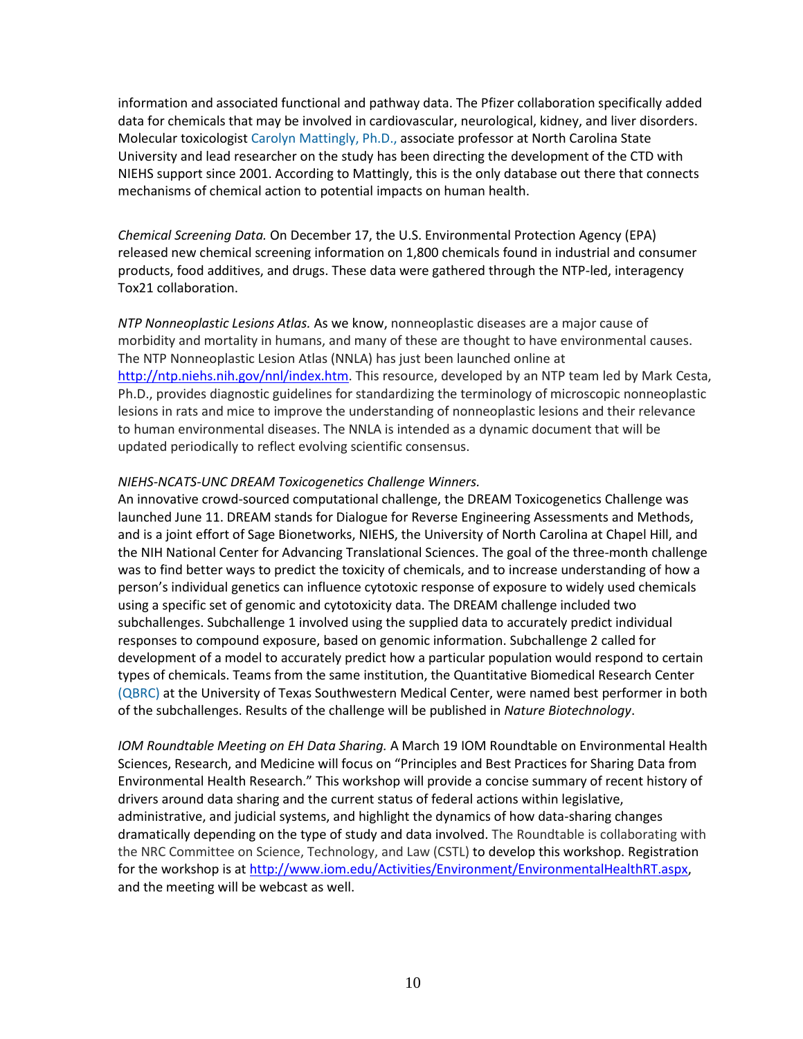information and associated functional and pathway data. The Pfizer collaboration specifically added data for chemicals that may be involved in cardiovascular, neurological, kidney, and liver disorders. Molecular toxicologis[t Carolyn Mattingly, Ph.D.,](http://harvest.cals.ncsu.edu/biology/index.cfm?pageID=4824&ID=2358) associate professor at North Carolina State University and lead researcher on the study has been directing the development of the CTD with NIEHS support since 2001. According to Mattingly, this is the only database out there that connects mechanisms of chemical action to potential impacts on human health.

*Chemical Screening Data.* On December 17, the U.S. Environmental Protection Agency (EPA) released new chemical screening information on 1,800 chemicals found in industrial and consumer products, food additives, and drugs. These data were gathered through the NTP-led, interagency Tox21 collaboration.

*NTP Nonneoplastic Lesions Atlas.* As we know, nonneoplastic diseases are a major cause of morbidity and mortality in humans, and many of these are thought to have environmental causes. The NTP Nonneoplastic Lesion Atlas (NNLA) has just been launched online at [http://ntp.niehs.nih.gov/nnl/index.htm.](http://ntp.niehs.nih.gov/nnl/index.htm) This resource, developed by an NTP team led by Mark Cesta, Ph.D., provides diagnostic guidelines for standardizing the terminology of microscopic nonneoplastic lesions in rats and mice to improve the understanding of nonneoplastic lesions and their relevance to human environmental diseases. The NNLA is intended as a dynamic document that will be updated periodically to reflect evolving scientific consensus.

#### *NIEHS-NCATS-UNC DREAM Toxicogenetics Challenge Winners.*

An innovative crowd-sourced computational challenge, the DREAM Toxicogenetics Challenge was launched June 11. DREAM stands for Dialogue for Reverse Engineering Assessments and Methods, and is a joint effort of Sage Bionetworks, NIEHS, the University of North Carolina at Chapel Hill, and the NIH National Center for Advancing Translational Sciences. The goal of the three-month challenge was to find better ways to predict the toxicity of chemicals, and to increase understanding of how a person's individual genetics can influence cytotoxic response of exposure to widely used chemicals using a specific set of genomic and cytotoxicity data. The DREAM challenge included two subchallenges. Subchallenge 1 involved using the supplied data to accurately predict individual responses to compound exposure, based on genomic information. Subchallenge 2 called for development of a model to accurately predict how a particular population would respond to certain types of chemicals. Teams from the same institution, the Quantitative Biomedical Research Center [\(QBRC\)](http://qbrc.swmed.edu/) at the University of Texas Southwestern Medical Center, were named best performer in both of the subchallenges. Results of the challenge will be published in *Nature Biotechnology*.

*IOM Roundtable Meeting on EH Data Sharing.* A March 19 IOM Roundtable on Environmental Health Sciences, Research, and Medicine will focus on "Principles and Best Practices for Sharing Data from Environmental Health Research." This workshop will provide a concise summary of recent history of drivers around data sharing and the current status of federal actions within legislative, administrative, and judicial systems, and highlight the dynamics of how data-sharing changes dramatically depending on the type of study and data involved. The Roundtable is collaborating with the NRC Committee on Science, Technology, and Law (CSTL) to develop this workshop. Registration for the workshop is at [http://www.iom.edu/Activities/Environment/EnvironmentalHealthRT.aspx,](http://www.iom.edu/Activities/Environment/EnvironmentalHealthRT.aspx) and the meeting will be webcast as well.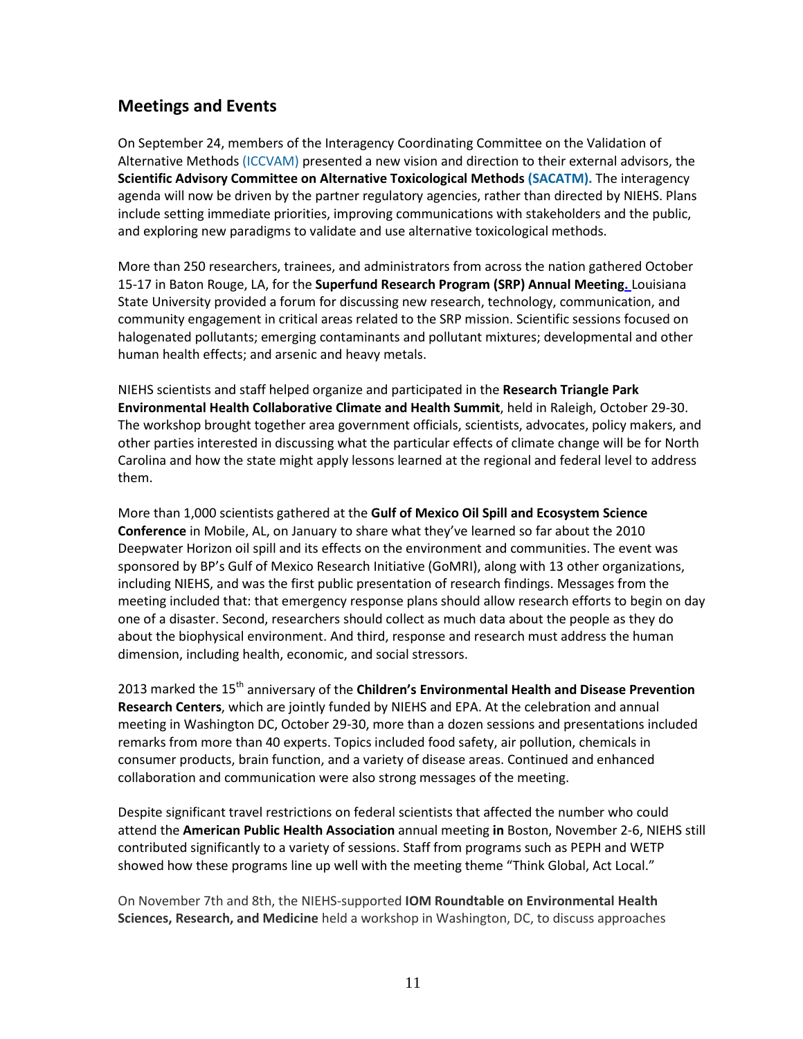## **Meetings and Events**

On September 24, members of the Interagency Coordinating Committee on the Validation of Alternative Methods [\(ICCVAM\)](http://iccvam.niehs.nih.gov/) presented a new vision and direction to their external advisors, the **Scientific Advisory Committee on Alternative Toxicological Method[s \(SACATM\).](http://ntp.niehs.nih.gov/go/167)** The interagency agenda will now be driven by the partner regulatory agencies, rather than directed by NIEHS. Plans include setting immediate priorities, improving communications with stakeholders and the public, and exploring new paradigms to validate and use alternative toxicological methods.

More than 250 researchers, trainees, and administrators from across the nation gathered October 15-17 in Baton Rouge, LA, for the **Superfund Research Program (SRP) Annual Meeting.** Louisiana State University provided a forum for discussing new research, technology, communication, and community engagement in critical areas related to the SRP mission. Scientific sessions focused on halogenated pollutants; emerging contaminants and pollutant mixtures; developmental and other human health effects; and arsenic and heavy metals.

NIEHS scientists and staff helped organize and participated in the **Research Triangle Park Environmental Health Collaborative Climate and Health Summit**, held in Raleigh, October 29-30. The workshop brought together area government officials, scientists, advocates, policy makers, and other parties interested in discussing what the particular effects of climate change will be for North Carolina and how the state might apply lessons learned at the regional and federal level to address them.

More than 1,000 scientists gathered at the **Gulf of Mexico Oil Spill and Ecosystem Science Conference** in Mobile, AL, on January to share what they've learned so far about the 2010 Deepwater Horizon oil spill and its effects on the environment and communities. The event was sponsored by BP's Gulf of Mexico Research Initiative (GoMRI), along with 13 other organizations, including NIEHS, and was the first public presentation of research findings. Messages from the meeting included that: that emergency response plans should allow research efforts to begin on day one of a disaster. Second, researchers should collect as much data about the people as they do about the biophysical environment. And third, response and research must address the human dimension, including health, economic, and social stressors.

2013 marked the 15<sup>th</sup> anniversary of the **Children's Environmental Health and Disease Prevention [Research Centers](http://www.niehs.nih.gov/news/newsletter/2013/12/spotlight-anniversary/index.htm)**, which are jointly funded by NIEHS and EPA. At the celebration and annual meeting in Washington DC, October 29-30, more than a dozen sessions and presentations included remarks from more than 40 experts. Topics included food safety, air pollution, chemicals in consumer products, brain function, and a variety of disease areas. Continued and enhanced collaboration and communication were also strong messages of the meeting.

Despite significant travel restrictions on federal scientists that affected the number who could attend the **American Public Health Association** annual meeting **in** Boston, November 2-6, NIEHS still contributed significantly to a variety of sessions. Staff from programs such as PEPH and WETP showed how these programs line up well with the meeting theme "Think Global, Act Local."

On November 7th and 8th, the NIEHS-supported **IOM Roundtable on Environmental Health Sciences, Research, and Medicine** held a workshop in Washington, DC, to discuss approaches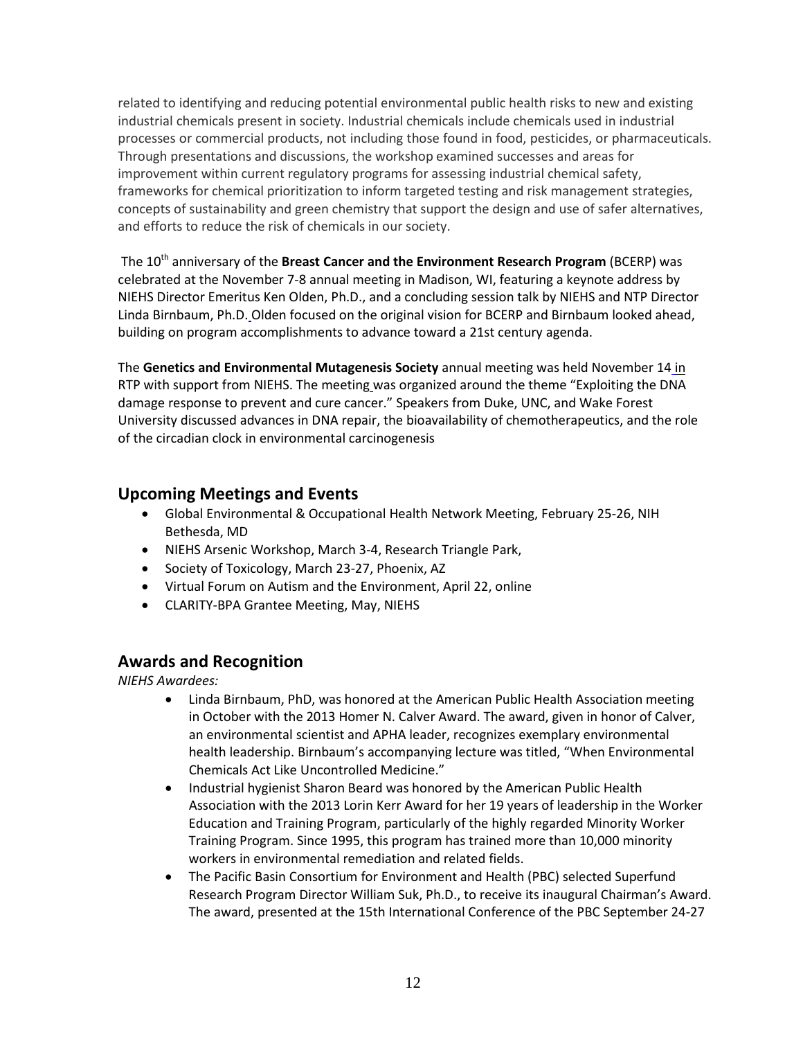related to identifying and reducing potential environmental public health risks to new and existing industrial chemicals present in society. Industrial chemicals include chemicals used in industrial processes or commercial products, not including those found in food, pesticides, or pharmaceuticals. Through presentations and discussions, the workshop examined successes and areas for improvement within current regulatory programs for assessing industrial chemical safety, frameworks for chemical prioritization to inform targeted testing and risk management strategies, concepts of sustainability and green chemistry that support the design and use of safer alternatives, and efforts to reduce the risk of chemicals in our society.

The 10<sup>th</sup> anniversary of the **Breast Cancer and the Environment Research Program** (BCERP) was celebrated at the November 7-8 annual meeting in Madison, WI, featuring a keynote address by NIEHS Director Emeritus Ken Olden, Ph.D., and a concluding session talk by NIEHS and NTP Director Linda Birnbaum, Ph.D. Olden focused on the original vision for BCERP and Birnbaum looked ahead, building on program accomplishments to advance toward a 21st century agenda.

The **Genetics and Environmental Mutagenesis Society** annual meeting was held November 14 in RTP with support from NIEHS. The meeting was organized around the theme "Exploiting the DNA damage response to prevent and cure cancer." Speakers from Duke, UNC, and Wake Forest University discussed advances in DNA repair, the bioavailability of chemotherapeutics, and the role of the circadian clock in environmental carcinogenesis

## **Upcoming Meetings and Events**

- Global Environmental & Occupational Health Network Meeting, February 25-26, NIH Bethesda, MD
- NIEHS Arsenic Workshop, March 3-4, Research Triangle Park,
- Society of Toxicology, March 23-27, Phoenix, AZ
- Virtual Forum on Autism and the Environment, April 22, online
- CLARITY-BPA Grantee Meeting, May, NIEHS

## **Awards and Recognition**

*NIEHS Awardees:*

- Linda Birnbaum, PhD, was honored at the American Public Health Association meeting in October with the 2013 Homer N. Calver Award. The award, given in honor of Calver, an environmental scientist and APHA leader, recognizes exemplary environmental health leadership. Birnbaum's accompanying lecture was titled, "When Environmental Chemicals Act Like Uncontrolled Medicine."
- Industrial hygienist Sharon Beard was honored by the American Public Health Association with the 2013 Lorin Kerr Award for her 19 years of leadership in the Worker Education and Training Program, particularly of the highly regarded Minority Worker Training Program. Since 1995, this program has trained more than 10,000 minority workers in environmental remediation and related fields.
- The Pacific Basin Consortium for Environment and Health (PBC) selected Superfund Research Program Director William Suk, Ph.D., to receive its inaugural Chairman's Award. The award, presented at the 15th International Conference of the PBC September 24-27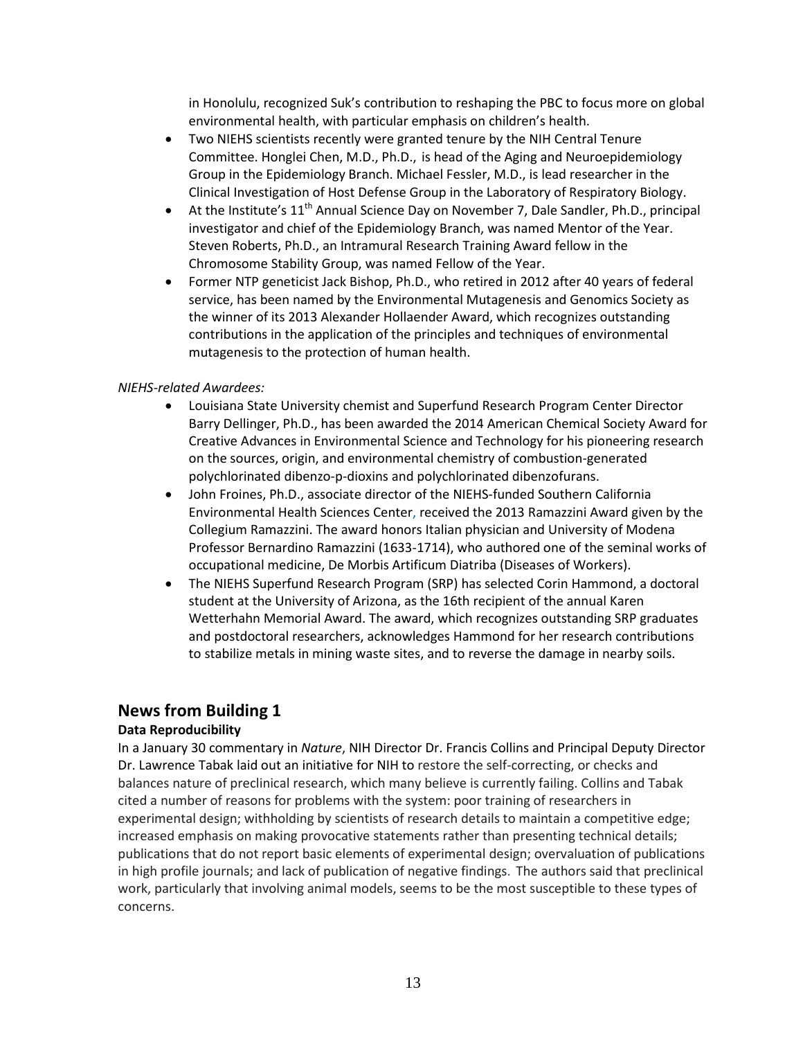in Honolulu, recognized Suk's contribution to reshaping the PBC to focus more on global environmental health, with particular emphasis on children's health.

- Two NIEHS scientists recently were granted tenure by the NIH Central Tenure Committee. Honglei Chen, M.D., Ph.D., is head of the Aging and Neuroepidemiology Group in the Epidemiology Branch. Michael Fessler, M.D., is lead researcher in the Clinical Investigation of Host Defense Group in the Laboratory of Respiratory Biology.
- At the Institute's  $11<sup>th</sup>$  Annual Science Day on November 7, Dale Sandler, Ph.D., principal investigator and chief of the Epidemiology Branch, was named Mentor of the Year. Steven Roberts, Ph.D., an Intramural Research Training Award fellow in the Chromosome Stability Group, was named Fellow of the Year.
- Former NTP geneticist Jack Bishop, Ph.D., who retired in 2012 after 40 years of federal service, has been named by the Environmental Mutagenesis and Genomics Society as the winner of its 2013 Alexander Hollaender Award, which recognizes outstanding contributions in the application of the principles and techniques of environmental mutagenesis to the protection of human health.

#### *NIEHS-related Awardees:*

- Louisiana State University chemist and Superfund Research Program Center Director Barry Dellinger, Ph.D., has been awarded the 2014 American Chemical Societ[y Award](http://www.acs.org/content/acs/en/funding-and-awards/awards/national/bytopic/acs-award-for-creative-advances-in-environmental-science-and-technology.html) for Creative Advances in Environmental Science and Technology for his pioneering research on the sources, origin, and environmental chemistry of combustion-generated polychlorinated dibenzo-p-dioxins and polychlorinated dibenzofurans.
- John Froines, Ph.D., associate director of the NIEHS-funded Southern California Environmental Health Sciences Center, received the 2013 Ramazzini Award given by the Collegium Ramazzini. The award honors Italian physician and University of Modena Professor Bernardino Ramazzini (1633-1714), who authored one of the seminal works of occupational medicine, De Morbis Artificum Diatriba (Diseases of Workers).
- The NIEHS Superfund Research Program (SRP) has selected Corin Hammond, a doctoral student at the University of Arizona, as the 16th recipient of the annual Karen Wetterhahn Memorial Award. The award, which recognizes outstanding SRP graduates and postdoctoral researchers, acknowledges Hammond for her research contributions to stabilize metals in mining waste sites, and to reverse the damage in nearby soils.

### **News from Building 1**

### **Data Reproducibility**

In a January 30 commentary in *Nature*, NIH Director Dr. Francis Collins and Principal Deputy Director Dr. Lawrence Tabak laid out an initiative for NIH to restore the self-correcting, or checks and balances nature of preclinical research, which many believe is currently failing. Collins and Tabak cited a number of reasons for problems with the system: poor training of researchers in experimental design; withholding by scientists of research details to maintain a competitive edge; increased emphasis on making provocative statements rather than presenting technical details; publications that do not report basic elements of experimental design; overvaluation of publications in high profile journals; and lack of publication of negative findings. The authors said that preclinical work, particularly that involving animal models, seems to be the most susceptible to these types of concerns.